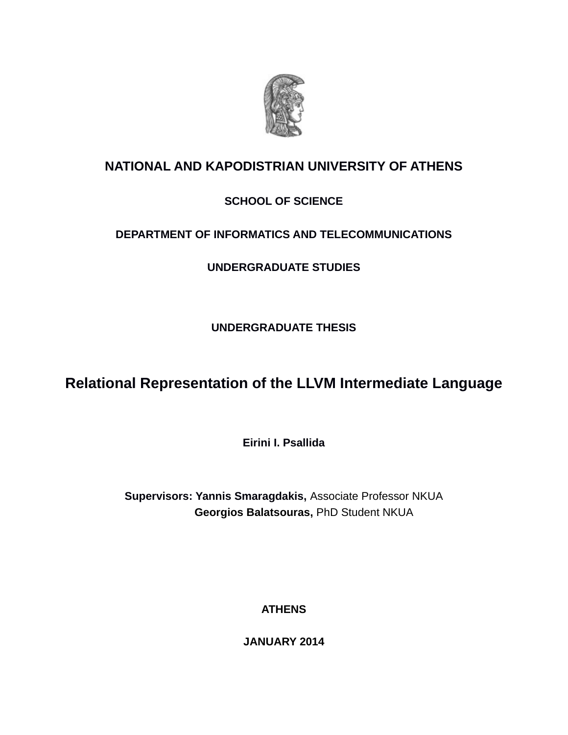

## **NATIONAL AND KAPODISTRIAN UNIVERSITY OF ATHENS**

## **SCHOOL OF SCIENCE**

## **DEPARTMENT OF INFORMATICS AND TELECOMMUNICATIONS**

**UNDERGRADUATE STUDIES**

**UNDERGRADUATE THESIS**

# **Relational Representation of the LLVM Intermediate Language**

**Eirini I. Psallida**

**Supervisors: Yannis Smaragdakis,** Associate Professor NKUA  **Georgios Balatsouras,** PhD Student NKUA

**ATHENS**

**JANUARY 2014**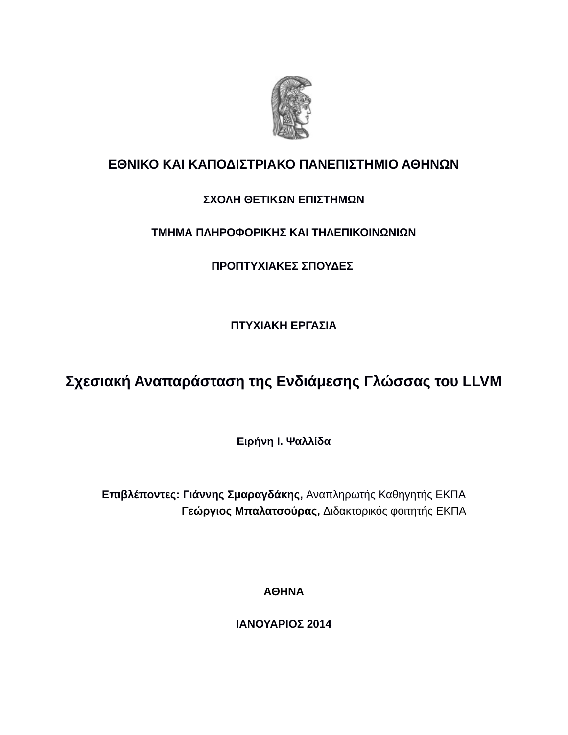

## **ΕΘΝΙΚΟ ΚΑΙ ΚΑΠΟΔΙΣΤΡΙΑΚΟ ΠΑΝΕΠΙΣΤΗΜΙΟ ΑΘΗΝΩΝ**

## **ΣΧΟΛΗ ΘΕΤΙΚΩΝ ΕΠΙΣΤΗΜΩΝ**

## **ΤΜΗΜΑ ΠΛΗΡΟΦΟΡΙΚΗΣ ΚΑΙ ΤΗΛΕΠΙΚΟΙΝΩΝΙΩΝ**

## **ΠΡΟΠΤΥΧΙΑΚΕΣ ΣΠΟΥΔΕΣ**

**ΠΤΥΧΙΑΚΗ ΕΡΓΑΣΙΑ**

# **Σχεσιακή Αναπαράσταση της Ενδιάμεσης Γλώσσας του LLVM**

**Ειρήνη Ι. Ψαλλίδα**

**Επιβλέποντες: Γιάννης Σμαραγδάκης,** Αναπληρωτής Καθηγητής ΕΚΠΑ  **Γεώργιος Μπαλατσούρας,** Διδακτορικός φοιτητής ΕΚΠΑ

**ΑΘΗΝΑ**

**ΙΑΝΟΥΑΡΙΟΣ 2014**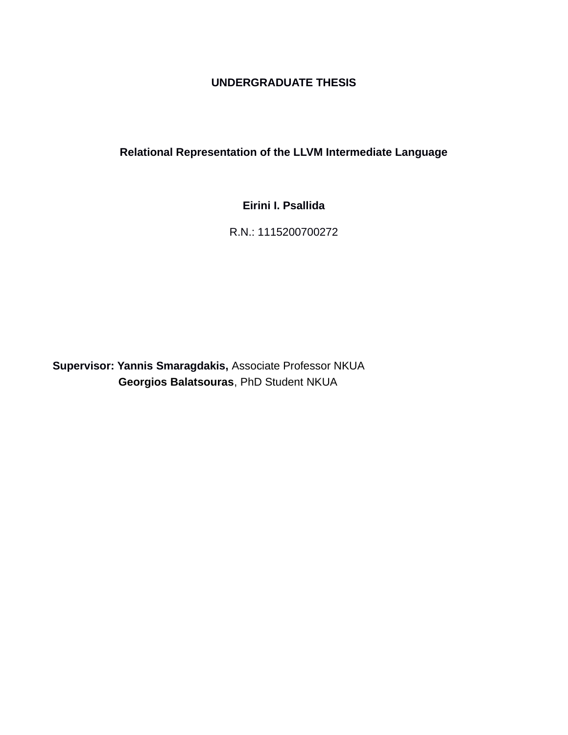## **UNDERGRADUATE THESIS**

## **Relational Representation of the LLVM Intermediate Language**

## **Eirini I. Psallida**

## R.N.: 1115200700272

**Supervisor: Yannis Smaragdakis,** Associate Professor NKUA **Georgios Balatsouras**, PhD Student NKUA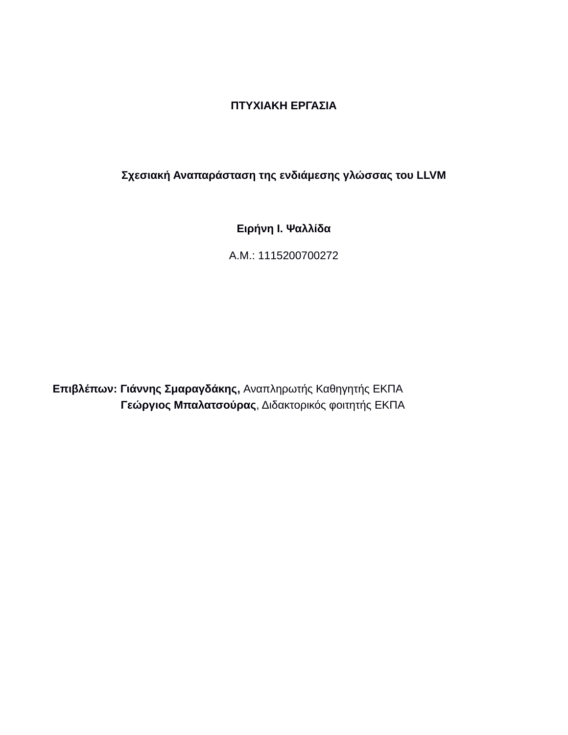## **ΠΤΥΧΙΑΚΗ ΕΡΓΑΣΙΑ**

## **Σχεσιακή Αναπαράσταση της ενδιάμεσης γλώσσας του LLVM**

**Ειρήνη Ι. Ψαλλίδα**

Α.Μ.: 1115200700272

**Επιβλέπων: Γιάννης Σμαραγδάκης,** Αναπληρωτής Καθηγητής ΕΚΠΑ  **Γεώργιος Μπαλατσούρας**, Διδακτορικός φοιτητής ΕΚΠΑ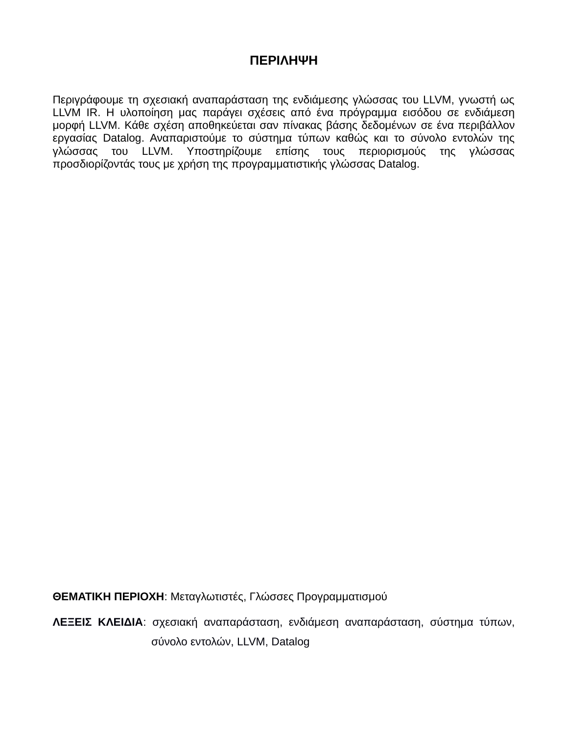## **ΠΕΡΙΛΗΨΗ**

Περιγράφουμε τη σχεσιακή αναπαράσταση της ενδιάμεσης γλώσσας του LLVM, γνωστή ως LLVM IR. Η υλοποίηση μας παράγει σχέσεις από ένα πρόγραμμα εισόδου σε ενδιάμεση μορφή LLVM. Κάθε σχέση αποθηκεύεται σαν πίνακας βάσης δεδομένων σε ένα περιβάλλον εργασίας Datalog. Αναπαριστούμε το σύστημα τύπων καθώς και το σύνολο εντολών της γλώσσας του LLVM. Υποστηρίζουμε επίσης τους περιορισμούς της γλώσσας προσδιορίζοντάς τους με χρήση της προγραμματιστικής γλώσσας Datalog.

**ΘΕΜΑΤΙΚΗ ΠΕΡΙΟΧΗ**: Μεταγλωτιστές, Γλώσσες Προγραμματισμού

**ΛΕΞΕΙΣ ΚΛΕΙΔΙΑ**: σχεσιακή αναπαράσταση, ενδιάμεση αναπαράσταση, σύστημα τύπων, σύνολο εντολών, LLVM, Datalog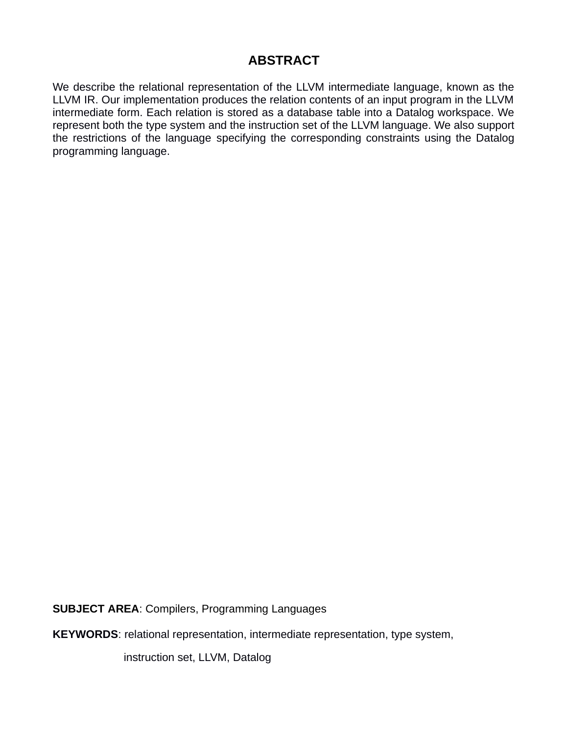## **ABSTRACT**

We describe the relational representation of the LLVM intermediate language, known as the LLVM IR. Our implementation produces the relation contents of an input program in the LLVM intermediate form. Each relation is stored as a database table into a Datalog workspace. We represent both the type system and the instruction set of the LLVM language. We also support the restrictions of the language specifying the corresponding constraints using the Datalog programming language.

**SUBJECT AREA**: Compilers, Programming Languages

**KEYWORDS**: relational representation, intermediate representation, type system,

instruction set, LLVM, Datalog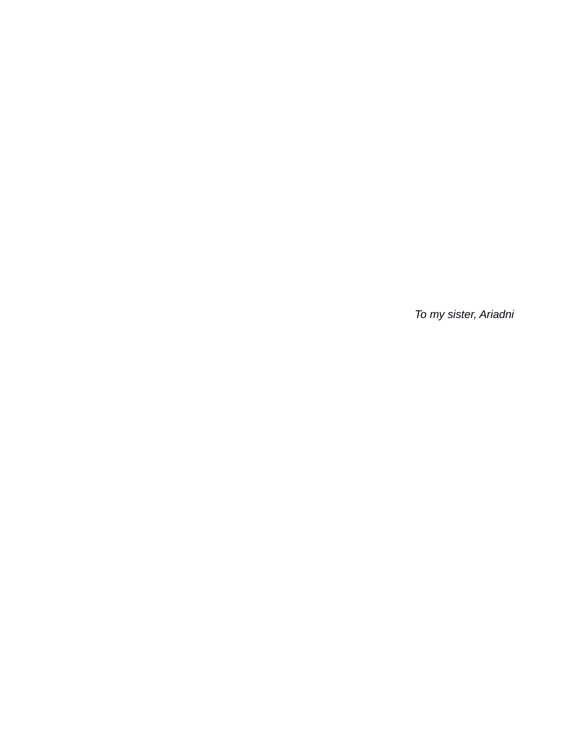*To my sister, Ariadni*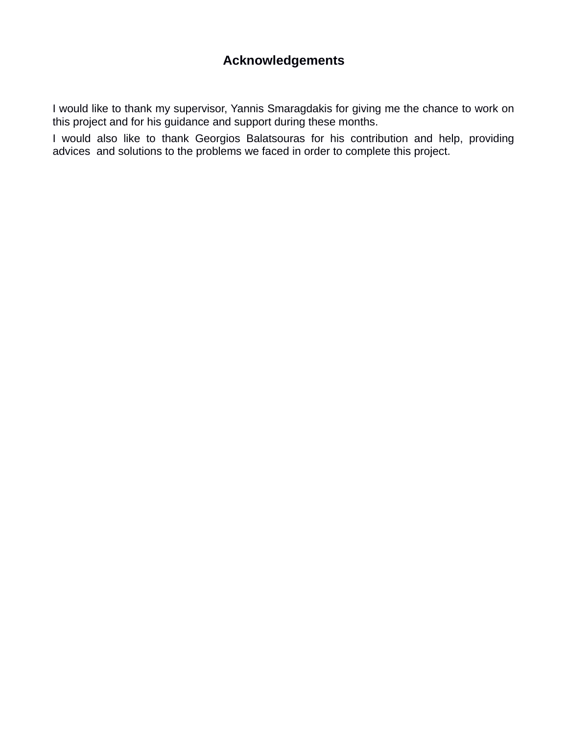## **Acknowledgements**

I would like to thank my supervisor, Yannis Smaragdakis for giving me the chance to work on this project and for his guidance and support during these months.

I would also like to thank Georgios Balatsouras for his contribution and help, providing advices and solutions to the problems we faced in order to complete this project.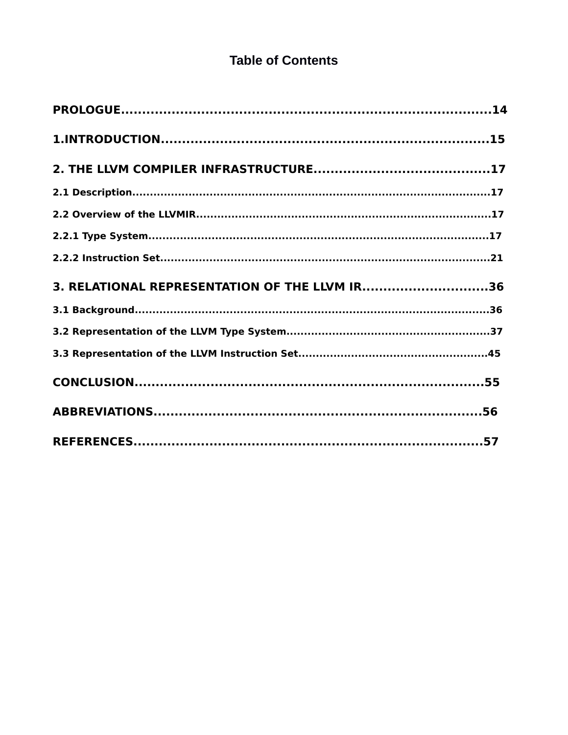## **Table of Contents**

| 3. RELATIONAL REPRESENTATION OF THE LLVM IR36 |  |
|-----------------------------------------------|--|
|                                               |  |
|                                               |  |
|                                               |  |
|                                               |  |
|                                               |  |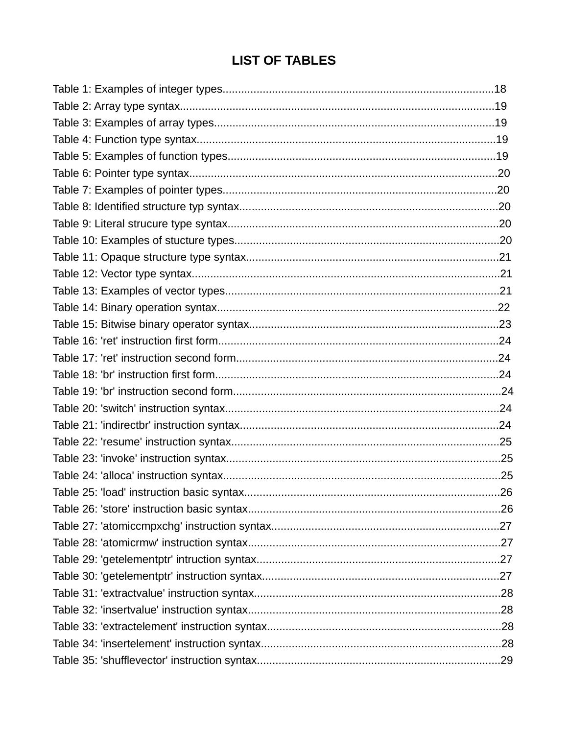## **LIST OF TABLES**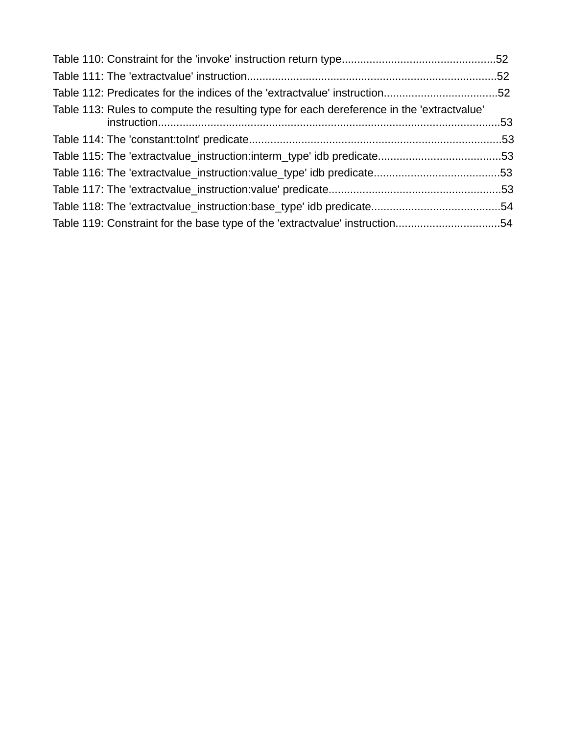| Table 112: Predicates for the indices of the 'extractvalue' instruction52                 |  |
|-------------------------------------------------------------------------------------------|--|
| Table 113: Rules to compute the resulting type for each dereference in the 'extractvalue' |  |
|                                                                                           |  |
|                                                                                           |  |
|                                                                                           |  |
|                                                                                           |  |
|                                                                                           |  |
| Table 119: Constraint for the base type of the 'extractvalue' instruction54               |  |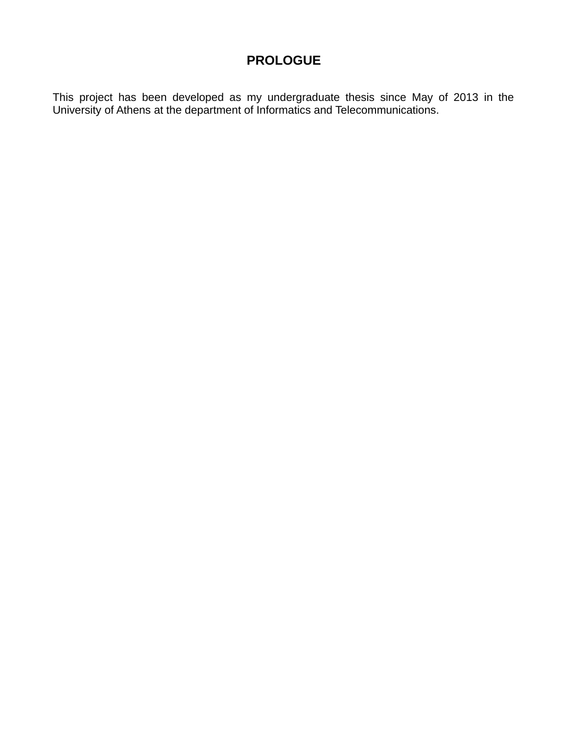## **PROLOGUE**

This project has been developed as my undergraduate thesis since May of 2013 in the University of Athens at the department of Informatics and Telecommunications.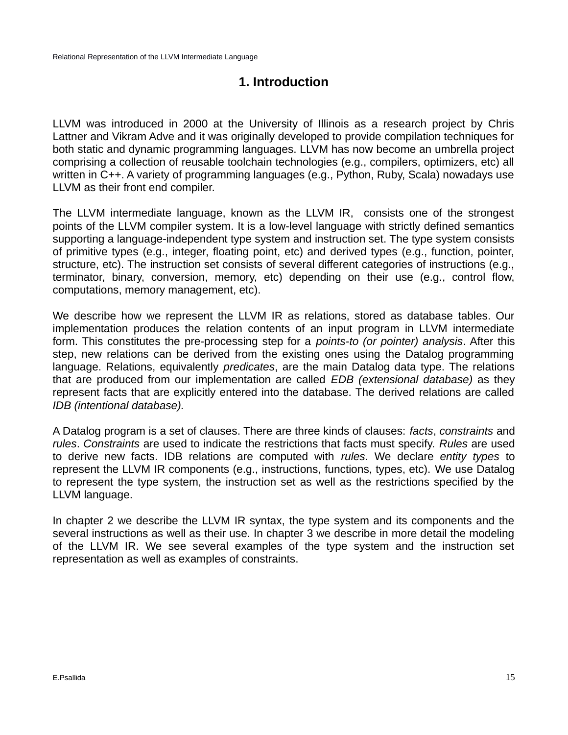## **1. Introduction**

LLVM was introduced in 2000 at the University of Illinois as a research project by Chris Lattner and Vikram Adve and it was originally developed to provide compilation techniques for both static and dynamic programming languages. LLVM has now become an umbrella project comprising a collection of reusable toolchain technologies (e.g., compilers, optimizers, etc) all written in C++. A variety of programming languages (e.g., Python, Ruby, Scala) nowadays use LLVM as their front end compiler.

The LLVM intermediate language, known as the LLVM IR, consists one of the strongest points of the LLVM compiler system. It is a low-level language with strictly defined semantics supporting a language-independent type system and instruction set. The type system consists of primitive types (e.g., integer, floating point, etc) and derived types (e.g., function, pointer, structure, etc). The instruction set consists of several different categories of instructions (e.g., terminator, binary, conversion, memory, etc) depending on their use (e.g., control flow, computations, memory management, etc).

We describe how we represent the LLVM IR as relations, stored as database tables. Our implementation produces the relation contents of an input program in LLVM intermediate form. This constitutes the pre-processing step for a *points-to (or pointer) analysis*. After this step, new relations can be derived from the existing ones using the Datalog programming language. Relations, equivalently *predicates*, are the main Datalog data type. The relations that are produced from our implementation are called *EDB (extensional database)* as they represent facts that are explicitly entered into the database. The derived relations are called *IDB (intentional database).* 

A Datalog program is a set of clauses. There are three kinds of clauses: *facts*, *constraints* and *rules*. *Constraints* are used to indicate the restrictions that facts must specify. *Rules* are used to derive new facts. IDB relations are computed with *rules*. We declare *entity types* to represent the LLVM IR components (e.g., instructions, functions, types, etc). We use Datalog to represent the type system, the instruction set as well as the restrictions specified by the LLVM language.

In chapter 2 we describe the LLVM IR syntax, the type system and its components and the several instructions as well as their use. In chapter 3 we describe in more detail the modeling of the LLVM IR. We see several examples of the type system and the instruction set representation as well as examples of constraints.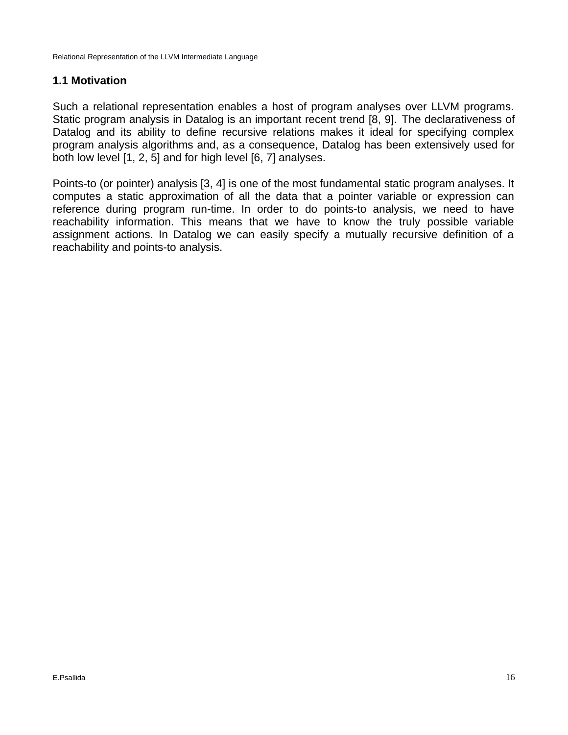## **1.1 Motivation**

Such a relational representation enables a host of program analyses over LLVM programs. Static program analysis in Datalog is an important recent trend [8, 9]. The declarativeness of Datalog and its ability to define recursive relations makes it ideal for specifying complex program analysis algorithms and, as a consequence, Datalog has been extensively used for both low level [1, 2, 5] and for high level [6, 7] analyses.

Points-to (or pointer) analysis [3, 4] is one of the most fundamental static program analyses. It computes a static approximation of all the data that a pointer variable or expression can reference during program run-time. In order to do points-to analysis, we need to have reachability information. This means that we have to know the truly possible variable assignment actions. In Datalog we can easily specify a mutually recursive definition of a reachability and points-to analysis.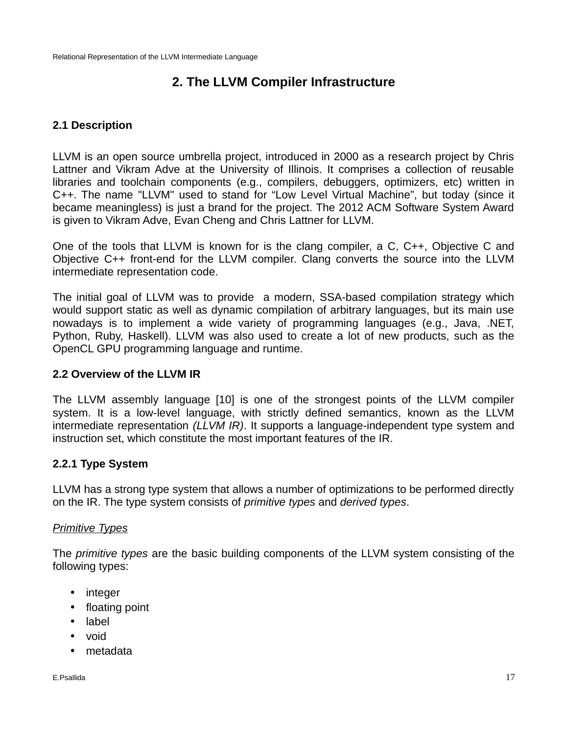## **2. The LLVM Compiler Infrastructure**

## **2.1 Description**

LLVM is an open source umbrella project, introduced in 2000 as a research project by Chris Lattner and Vikram Adve at the University of Illinois. It comprises a collection of reusable libraries and toolchain components (e.g., compilers, debuggers, optimizers, etc) written in C++. The name "LLVM" used to stand for "Low Level Virtual Machine", but today (since it became meaningless) is just a brand for the project. The 2012 ACM Software System Award is given to Vikram Adve, Evan Cheng and Chris Lattner for LLVM.

One of the tools that LLVM is known for is the clang compiler, a C, C++, Objective C and Objective C++ front-end for the LLVM compiler. Clang converts the source into the LLVM intermediate representation code.

The initial goal of LLVM was to provide a modern, SSA-based compilation strategy which would support static as well as dynamic compilation of arbitrary languages, but its main use nowadays is to implement a wide variety of programming languages (e.g., Java, .NET, Python, Ruby, Haskell). LLVM was also used to create a lot of new products, such as the OpenCL GPU programming language and runtime.

## **2.2 Overview of the LLVM IR**

The LLVM assembly language [10] is one of the strongest points of the LLVM compiler system. It is a low-level language, with strictly defined semantics, known as the LLVM intermediate representation *(LLVM IR)*. It supports a language-independent type system and instruction set, which constitute the most important features of the IR.

## **2.2.1 Type System**

LLVM has a strong type system that allows a number of optimizations to be performed directly on the IR. The type system consists of *primitive types* and *derived types*.

## *Primitive Types*

The *primitive types* are the basic building components of the LLVM system consisting of the following types:

- integer
- floating point
- label
- void
- metadata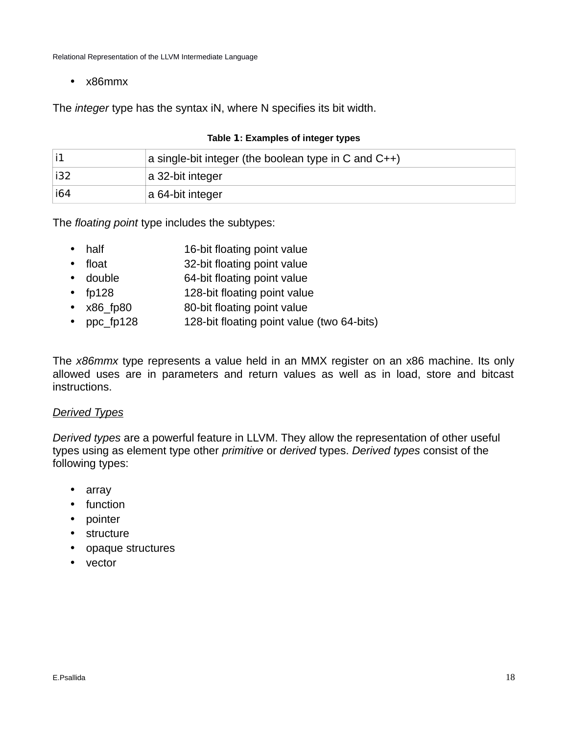• x86mmx

The *integer* type has the syntax iN, where N specifies its bit width.

|     | a single-bit integer (the boolean type in C and $C_{++}$ ) |
|-----|------------------------------------------------------------|
| i32 | a 32-bit integer                                           |
| i64 | a 64-bit integer                                           |

## **Table 1: Examples of integer types**

The *floating point* type includes the subtypes:

- half 16-bit floating point value
- float 32-bit floating point value
- double 64-bit floating point value
- fp128 128-bit floating point value
- x86 fp80 80-bit floating point value
- ppc fp128 128-bit floating point value (two 64-bits)

The *x86mmx* type represents a value held in an MMX register on an x86 machine. Its only allowed uses are in parameters and return values as well as in load, store and bitcast instructions.

## *Derived Types*

*Derived types* are a powerful feature in LLVM. They allow the representation of other useful types using as element type other *primitive* or *derived* types. *Derived types* consist of the following types:

- array
- function
- pointer
- structure
- opaque structures
- vector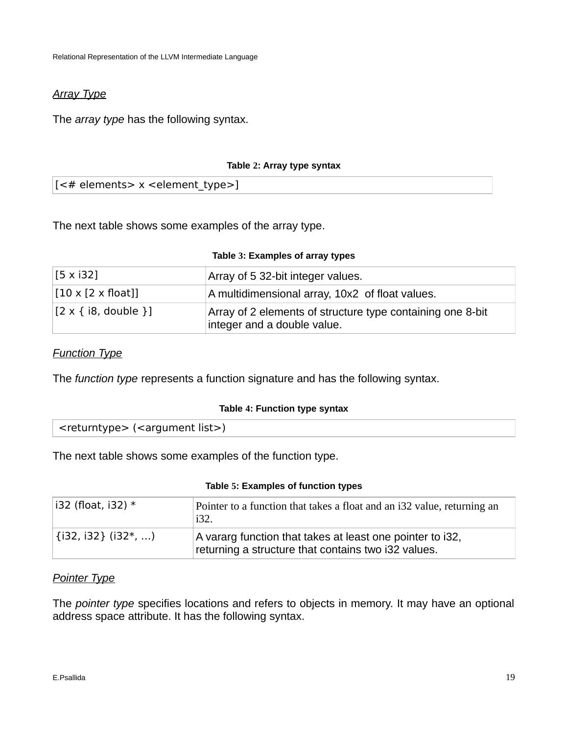## *Array Type*

The *array type* has the following syntax.

## **Table 2: Array type syntax**

[<# elements> x < element type>]

The next table shows some examples of the array type.

|  | Table 3: Examples of array types |  |  |  |
|--|----------------------------------|--|--|--|
|--|----------------------------------|--|--|--|

| $[5 \times 132]$               | Array of 5 32-bit integer values.                                                         |
|--------------------------------|-------------------------------------------------------------------------------------------|
| $[10 \times [2 \times float]]$ | A multidimensional array, 10x2 of float values.                                           |
| $[2 \times \{i8, double\}]$    | Array of 2 elements of structure type containing one 8-bit<br>integer and a double value. |

## *Function Type*

The *function type* represents a function signature and has the following syntax.

### **Table 4: Function type syntax**

The next table shows some examples of the function type.

### **Table 5: Examples of function types**

| $\vert$ i32 (float, i32) *  | Pointer to a function that takes a float and an i32 value, returning an<br>i32.                                  |
|-----------------------------|------------------------------------------------------------------------------------------------------------------|
| $\vert$ {i32, i32} (i32*, ) | A vararg function that takes at least one pointer to i32,<br>returning a structure that contains two i32 values. |

## *Pointer Type*

The *pointer type* specifies locations and refers to objects in memory. It may have an optional address space attribute. It has the following syntax.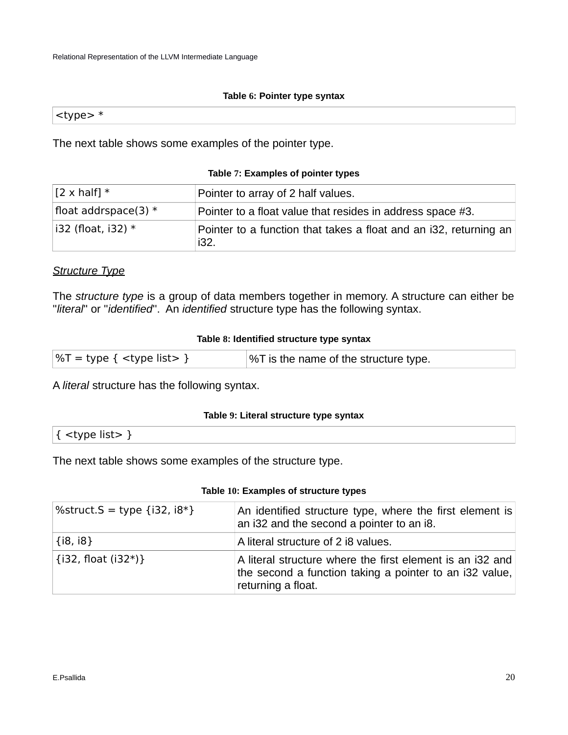### **Table 6: Pointer type syntax**

 $ltype$  \*

The next table shows some examples of the pointer type.

## **Table 7: Examples of pointer types**

| $[2 \times \text{half}]$ * | Pointer to array of 2 half values.                                        |
|----------------------------|---------------------------------------------------------------------------|
| float addrspace(3) $*$     | Pointer to a float value that resides in address space #3.                |
| $\vert$ i32 (float, i32) * | Pointer to a function that takes a float and an i32, returning an<br>i32. |

## *Structure Type*

The *structure type* is a group of data members together in memory. A structure can either be ''*literal*'' or ''*identified*''. An *identified* structure type has the following syntax.

### **Table 8: Identified structure type syntax**

| $\sqrt{5}$ = type { <type list=""> }</type> | $\%$ T is the name of the structure type. |
|---------------------------------------------|-------------------------------------------|
|---------------------------------------------|-------------------------------------------|

A *literal* structure has the following syntax.

### **Table 9: Literal structure type syntax**

| $\{\text{  }\}$ |  |  |  |
|-----------------|--|--|--|
|                 |  |  |  |

The next table shows some examples of the structure type.

## **Table 10: Examples of structure types**

| $\%$ struct.S = type {i32, i8*} | An identified structure type, where the first element is<br>an i32 and the second a pointer to an i8.                                      |  |  |  |
|---------------------------------|--------------------------------------------------------------------------------------------------------------------------------------------|--|--|--|
| $\{i8, i8\}$                    | A literal structure of 2 i8 values.                                                                                                        |  |  |  |
| $\{i32, float (i32*)\}$         | A literal structure where the first element is an i32 and<br>the second a function taking a pointer to an i32 value,<br>returning a float. |  |  |  |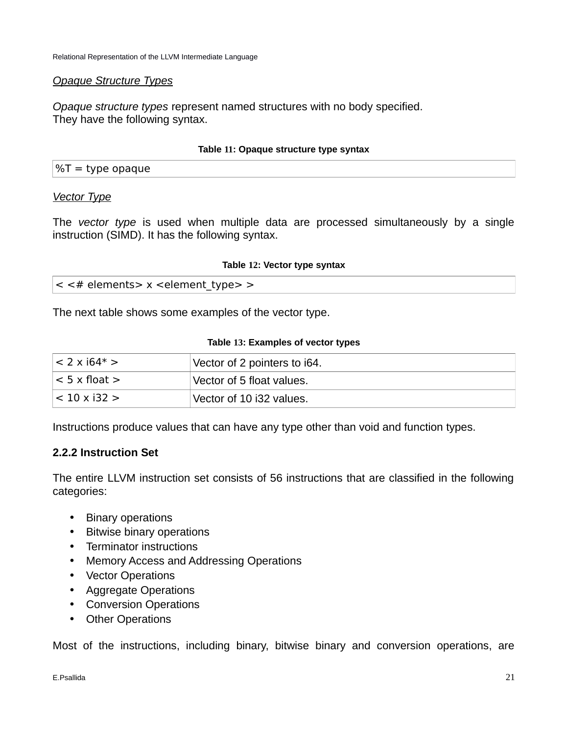## *Opaque Structure Types*

*Opaque structure types* represent named structures with no body specified. They have the following syntax.

## **Table 11: Opaque structure type syntax**

|  |  | $\%T =$ type opaque |  |
|--|--|---------------------|--|
|--|--|---------------------|--|

## *Vector Type*

The *vector type* is used when multiple data are processed simultaneously by a single instruction (SIMD). It has the following syntax.

### **Table 12: Vector type syntax**

|  |  | $\epsilon$ < # elements > x < element_type > > |  |  |  |  |
|--|--|------------------------------------------------|--|--|--|--|
|--|--|------------------------------------------------|--|--|--|--|

The next table shows some examples of the vector type.

## **Table 13: Examples of vector types**

| $\leq$ 2 x i64* >    | Vector of 2 pointers to i64. |
|----------------------|------------------------------|
| $\leq$ 5 x float $>$ | Vector of 5 float values.    |
| $ $ < 10 x i32 >     | Vector of 10 i32 values.     |

Instructions produce values that can have any type other than void and function types.

## **2.2.2 Instruction Set**

The entire LLVM instruction set consists of 56 instructions that are classified in the following categories:

- Binary operations
- Bitwise binary operations
- Terminator instructions
- Memory Access and Addressing Operations
- Vector Operations
- Aggregate Operations
- Conversion Operations
- Other Operations

Most of the instructions, including binary, bitwise binary and conversion operations, are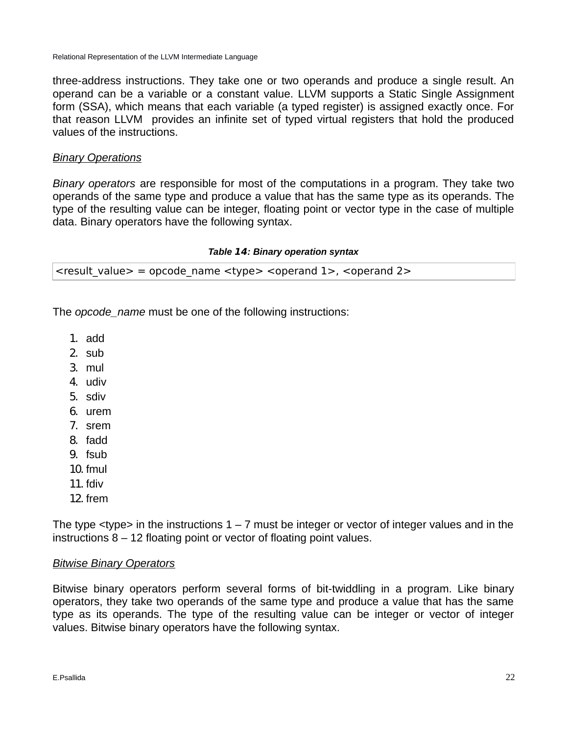three-address instructions. They take one or two operands and produce a single result. An operand can be a variable or a constant value. LLVM supports a Static Single Assignment form (SSA), which means that each variable (a typed register) is assigned exactly once. For that reason LLVM provides an infinite set of typed virtual registers that hold the produced values of the instructions.

## *Binary Operations*

*Binary operators* are responsible for most of the computations in a program. They take two operands of the same type and produce a value that has the same type as its operands. The type of the resulting value can be integer, floating point or vector type in the case of multiple data. Binary operators have the following syntax.

#### *Table* **14***: Binary operation syntax*

| <result_value> = opcode_name <type> <operand 1="">, <operand 2=""></operand></operand></type></result_value> |  |  |
|--------------------------------------------------------------------------------------------------------------|--|--|
|                                                                                                              |  |  |

The *opcode\_name* must be one of the following instructions:

- 1. add
- 2. sub
- 3. mul
- 4. udiv
- 5. sdiv
- 6. urem
- 7. srem
- 8. fadd
- 9. fsub
- 10. fmul
- 11. fdiv
- 12. frem

The type  $\langle$ type $\rangle$  in the instructions 1 – 7 must be integer or vector of integer values and in the instructions 8 – 12 floating point or vector of floating point values.

## *Bitwise Binary Operators*

Bitwise binary operators perform several forms of bit-twiddling in a program. Like binary operators, they take two operands of the same type and produce a value that has the same type as its operands. The type of the resulting value can be integer or vector of integer values. Bitwise binary operators have the following syntax.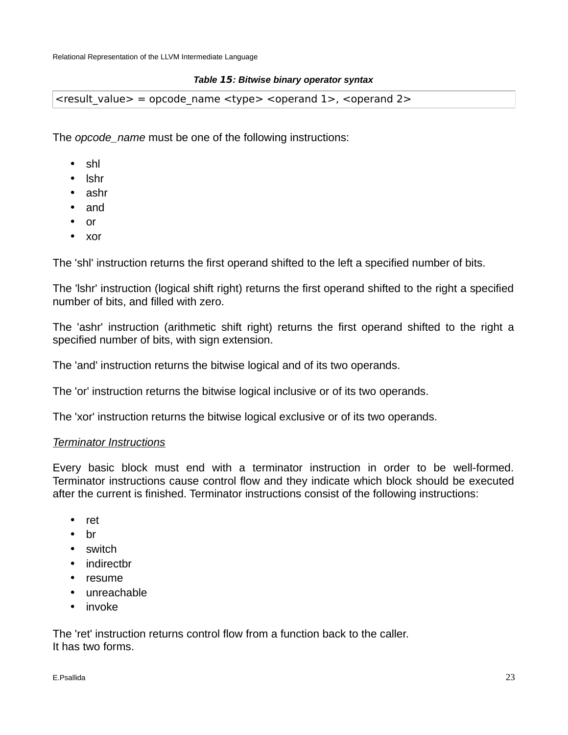### *Table* **15***: Bitwise binary operator syntax*

 $\epsilon$  <result value  $>$  = opcode name  $\epsilon$ type $>$  <operand 1 $>$ , <operand 2 $>$ 

The *opcode\_name* must be one of the following instructions:

- shl
- lshr
- ashr
- and
- or
- xor

The 'shl' instruction returns the first operand shifted to the left a specified number of bits.

The 'lshr' instruction (logical shift right) returns the first operand shifted to the right a specified number of bits, and filled with zero.

The 'ashr' instruction (arithmetic shift right) returns the first operand shifted to the right a specified number of bits, with sign extension.

The 'and' instruction returns the bitwise logical and of its two operands.

The 'or' instruction returns the bitwise logical inclusive or of its two operands.

The 'xor' instruction returns the bitwise logical exclusive or of its two operands.

### *Terminator Instructions*

Every basic block must end with a terminator instruction in order to be well-formed. Terminator instructions cause control flow and they indicate which block should be executed after the current is finished. Terminator instructions consist of the following instructions:

- ret
- br
- switch
- indirectbr
- resume
- unreachable
- invoke

The 'ret' instruction returns control flow from a function back to the caller. It has two forms.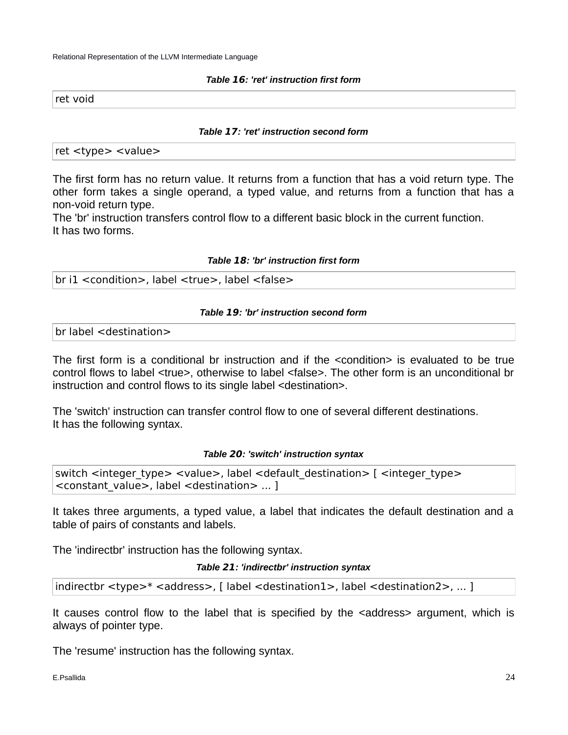#### *Table* **16***: 'ret' instruction first form*

ret void

#### *Table* **17***: 'ret' instruction second form*

ret <type> <value>

The first form has no return value. It returns from a function that has a void return type. The other form takes a single operand, a typed value, and returns from a function that has a non-void return type.

The 'br' instruction transfers control flow to a different basic block in the current function. It has two forms.

#### *Table* **18***: 'br' instruction first form*

br i1 <condition>, label <true>, label <false>

### *Table* **19***: 'br' instruction second form*

br label <destination>

The first form is a conditional br instruction and if the <condition> is evaluated to be true control flows to label <true>, otherwise to label <false>. The other form is an unconditional br instruction and control flows to its single label <destination>.

The 'switch' instruction can transfer control flow to one of several different destinations. It has the following syntax.

### *Table* **20***: 'switch' instruction syntax*

switch <integer\_type> <value>, label <default\_destination> [ <integer\_type> <constant\_value>, label <destination> ... ]

It takes three arguments, a typed value, a label that indicates the default destination and a table of pairs of constants and labels.

The 'indirectbr' instruction has the following syntax.

*Table* **21***: 'indirectbr' instruction syntax*

indirectbr <type>\* <address>, [ label <destination1>, label <destination2>, ... ]

It causes control flow to the label that is specified by the <address> argument, which is always of pointer type.

The 'resume' instruction has the following syntax.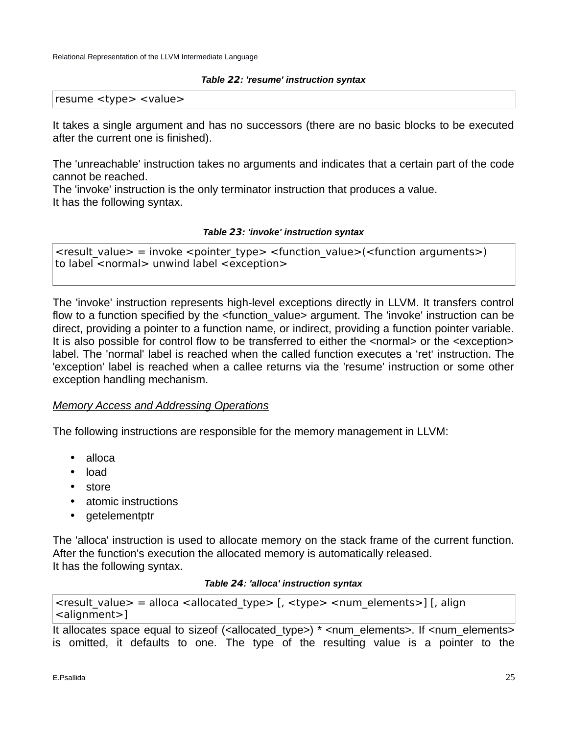#### *Table* **22***: 'resume' instruction syntax*

resume <type> <value>

It takes a single argument and has no successors (there are no basic blocks to be executed after the current one is finished).

The 'unreachable' instruction takes no arguments and indicates that a certain part of the code cannot be reached.

The 'invoke' instruction is the only terminator instruction that produces a value. It has the following syntax.

### *Table* **23***: 'invoke' instruction syntax*

 $\epsilon$  <result value $>$  = invoke <pointer type $>$  <function value>(<function arguments>) to label <normal> unwind label <exception>

The 'invoke' instruction represents high-level exceptions directly in LLVM. It transfers control flow to a function specified by the <function value> argument. The 'invoke' instruction can be direct, providing a pointer to a function name, or indirect, providing a function pointer variable. It is also possible for control flow to be transferred to either the <normal> or the <exception> label. The 'normal' label is reached when the called function executes a 'ret' instruction. The 'exception' label is reached when a callee returns via the 'resume' instruction or some other exception handling mechanism.

## *Memory Access and Addressing Operations*

The following instructions are responsible for the memory management in LLVM:

- alloca
- load
- store
- atomic instructions
- getelementptr

The 'alloca' instruction is used to allocate memory on the stack frame of the current function. After the function's execution the allocated memory is automatically released. It has the following syntax.

#### *Table* **24***: 'alloca' instruction syntax*

```
\epsilon <result value> = alloca <allocated type> [, <type> <num_elements>] [, align
<alignment>]
```
It allocates space equal to sizeof (<allocated type>) \* <num\_elements>. If <num\_elements> is omitted, it defaults to one. The type of the resulting value is a pointer to the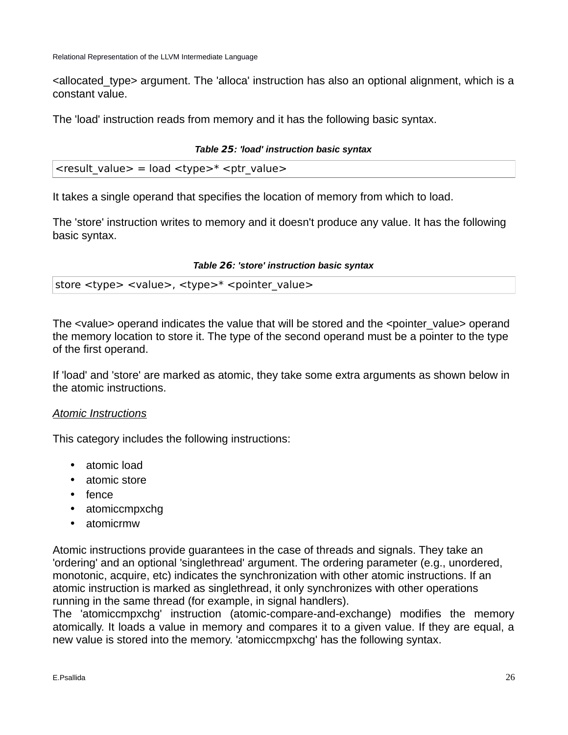<allocated\_type> argument. The 'alloca' instruction has also an optional alignment, which is a constant value.

The 'load' instruction reads from memory and it has the following basic syntax.

## *Table* **25***: 'load' instruction basic syntax*

| <result_value> = load <type>* <ptr_value></ptr_value></type></result_value> |  |  |  |  |
|-----------------------------------------------------------------------------|--|--|--|--|
|-----------------------------------------------------------------------------|--|--|--|--|

It takes a single operand that specifies the location of memory from which to load.

The 'store' instruction writes to memory and it doesn't produce any value. It has the following basic syntax.

### *Table* **26***: 'store' instruction basic syntax*

| store <type> <value>, <type>* <pointer_value></pointer_value></type></value></type> |
|-------------------------------------------------------------------------------------|
|-------------------------------------------------------------------------------------|

The <value> operand indicates the value that will be stored and the <pointer value> operand the memory location to store it. The type of the second operand must be a pointer to the type of the first operand.

If 'load' and 'store' are marked as atomic, they take some extra arguments as shown below in the atomic instructions.

## *Atomic Instructions*

This category includes the following instructions:

- atomic load
- atomic store
- fence
- atomiccmpxchg
- atomicrmw

Atomic instructions provide guarantees in the case of threads and signals. They take an 'ordering' and an optional 'singlethread' argument. The ordering parameter (e.g., unordered, monotonic, acquire, etc) indicates the synchronization with other atomic instructions. If an atomic instruction is marked as singlethread, it only synchronizes with other operations running in the same thread (for example, in signal handlers).

The 'atomiccmpxchg' instruction (atomic-compare-and-exchange) modifies the memory atomically. It loads a value in memory and compares it to a given value. If they are equal, a new value is stored into the memory. 'atomiccmpxchg' has the following syntax.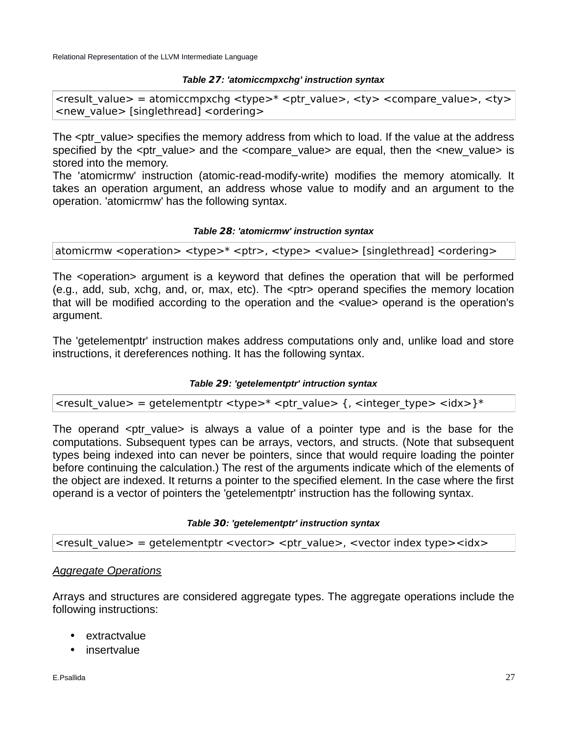#### *Table* **27***: 'atomiccmpxchg' instruction syntax*

 $\epsilon$  <result value> = atomiccmpxchg  $\epsilon$ type $>$ \*  $\epsilon$ ptr value $>$ ,  $\epsilon$ ty $>$   $\epsilon$ compare value $>$ ,  $\epsilon$ ty $>$ <new\_value> [singlethread] <ordering>

The <ptr\_value> specifies the memory address from which to load. If the value at the address specified by the  $\leq$ ptr value> and the  $\leq$ compare value> are equal, then the  $\leq$ new value> is stored into the memory.

The 'atomicrmw' instruction (atomic-read-modify-write) modifies the memory atomically. It takes an operation argument, an address whose value to modify and an argument to the operation. 'atomicrmw' has the following syntax.

#### *Table* **28***: 'atomicrmw' instruction syntax*

atomicrmw <operation> <type>\* <ptr> <type> <value> [singlethread] <ordering>

The <operation> argument is a keyword that defines the operation that will be performed (e.g., add, sub, xchg, and, or, max, etc). The <ptr> operand specifies the memory location that will be modified according to the operation and the <value> operand is the operation's argument.

The 'getelementptr' instruction makes address computations only and, unlike load and store instructions, it dereferences nothing. It has the following syntax.

### *Table* **29***: 'getelementptr' intruction syntax*

| <result_value> = getelementptr <type>* <ptr_value> {, <integer_type> <idx>}*</idx></integer_type></ptr_value></type></result_value> |  |  |  |
|-------------------------------------------------------------------------------------------------------------------------------------|--|--|--|
|                                                                                                                                     |  |  |  |

The operand  $\leq$  otr value> is always a value of a pointer type and is the base for the computations. Subsequent types can be arrays, vectors, and structs. (Note that subsequent types being indexed into can never be pointers, since that would require loading the pointer before continuing the calculation.) The rest of the arguments indicate which of the elements of the object are indexed. It returns a pointer to the specified element. In the case where the first operand is a vector of pointers the 'getelementptr' instruction has the following syntax.

### *Table* **30***: 'getelementptr' instruction syntax*

 $\epsilon$  <result value> = getelementptr <vector> <ptr value>, <vector index type><idx>

## *Aggregate Operations*

Arrays and structures are considered aggregate types. The aggregate operations include the following instructions:

- extractvalue
- insertvalue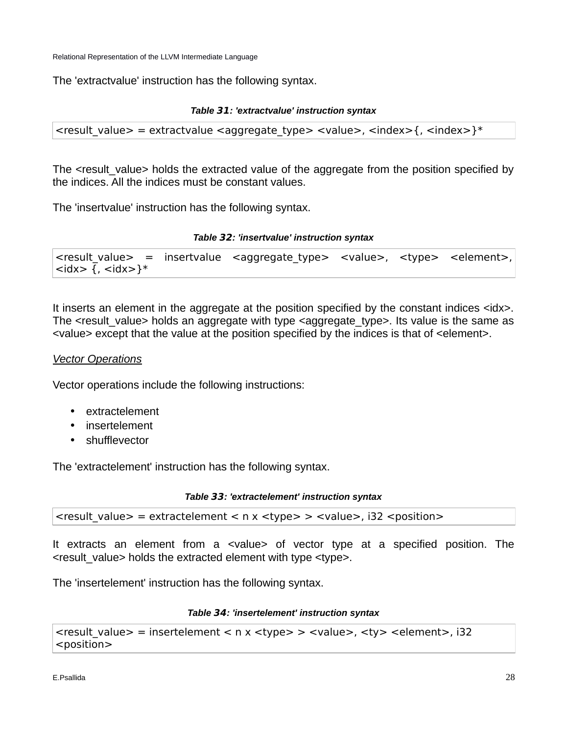The 'extractvalue' instruction has the following syntax.

#### *Table* **31***: 'extractvalue' instruction syntax*

```
\le result_value > = extractvalue \le aggregate_type > \le value >, \le index > {, \le index > } \le
```
The <result value> holds the extracted value of the aggregate from the position specified by the indices. All the indices must be constant values.

The 'insertvalue' instruction has the following syntax.

### *Table* **32***: 'insertvalue' instruction syntax*

```
<result_value> = insertvalue <aggregate_type> <value>, <type> <element>,
\langle \text{idx} \rangle {, \langle \text{idx} \rangle}*
```
It inserts an element in the aggregate at the position specified by the constant indices  $\langle$ idx>. The <result value> holds an aggregate with type <aggregate type>. Its value is the same as <value> except that the value at the position specified by the indices is that of <element>.

## *Vector Operations*

Vector operations include the following instructions:

- extractelement
- insertelement
- shufflevector

The 'extractelement' instruction has the following syntax.

| $\epsilon$ <result_value> = extractelement &lt; n x <type> &gt; <value>, i32 <position></position></value></type></result_value> |  |  |
|----------------------------------------------------------------------------------------------------------------------------------|--|--|
|                                                                                                                                  |  |  |

It extracts an element from a <value> of vector type at a specified position. The <result\_value> holds the extracted element with type <type>.

The 'insertelement' instruction has the following syntax.

### *Table* **34***: 'insertelement' instruction syntax*

```
<result value> = insertelement < n x <type> > <value>, <ty> <element>, i32
<position>
```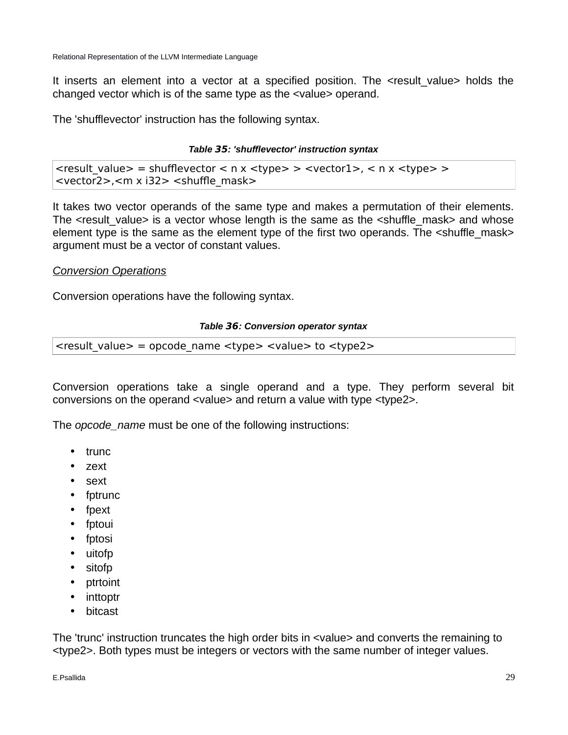It inserts an element into a vector at a specified position. The <result\_value> holds the changed vector which is of the same type as the <value> operand.

The 'shufflevector' instruction has the following syntax.

## *Table* **35***: 'shufflevector' instruction syntax*

<result\_value> = shufflevector < n x <type> > <vector1>, < n x <type> > <vector2>,<m x i32> <shuffle\_mask>

It takes two vector operands of the same type and makes a permutation of their elements. The <result value> is a vector whose length is the same as the <shuffle mask> and whose element type is the same as the element type of the first two operands. The <shuffle mask> argument must be a vector of constant values.

## *Conversion Operations*

Conversion operations have the following syntax.

## *Table* **36***: Conversion operator syntax*

 $\epsilon$  <result value> = opcode name <type> <value> to <type2>

Conversion operations take a single operand and a type. They perform several bit conversions on the operand <value> and return a value with type <type2>.

The *opcode\_name* must be one of the following instructions:

- trunc
- zext
- sext
- fptrunc
- fpext
- fptoui
- fptosi
- uitofp
- sitofp
- ptrtoint
- inttoptr
- bitcast

The 'trunc' instruction truncates the high order bits in <value> and converts the remaining to <type2>. Both types must be integers or vectors with the same number of integer values.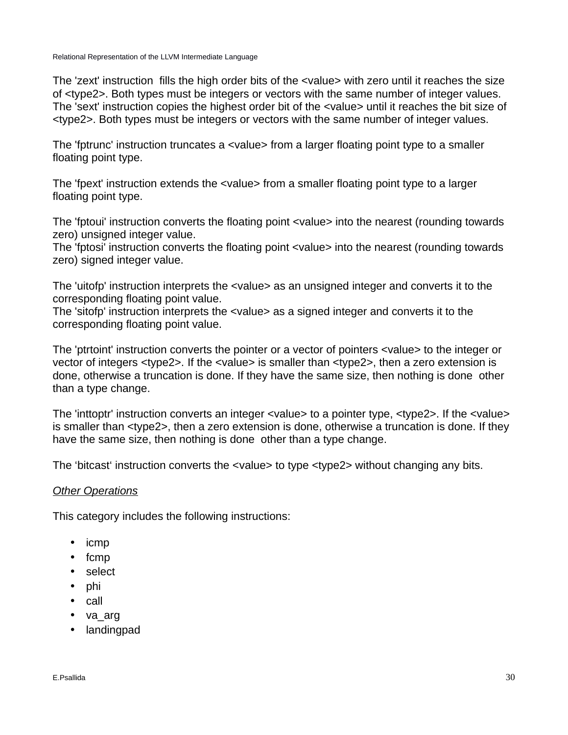The 'zext' instruction fills the high order bits of the <value> with zero until it reaches the size of <type2>. Both types must be integers or vectors with the same number of integer values. The 'sext' instruction copies the highest order bit of the <value> until it reaches the bit size of <type2>. Both types must be integers or vectors with the same number of integer values.

The 'fptrunc' instruction truncates a <value> from a larger floating point type to a smaller floating point type.

The 'fpext' instruction extends the <value> from a smaller floating point type to a larger floating point type.

The 'fptoui' instruction converts the floating point <value> into the nearest (rounding towards zero) unsigned integer value.

The 'fptosi' instruction converts the floating point <value> into the nearest (rounding towards zero) signed integer value.

The 'uitofp' instruction interprets the <value> as an unsigned integer and converts it to the corresponding floating point value.

The 'sitofp' instruction interprets the <value> as a signed integer and converts it to the corresponding floating point value.

The 'ptrtoint' instruction converts the pointer or a vector of pointers <value> to the integer or vector of integers <type2>. If the <value> is smaller than <type2>, then a zero extension is done, otherwise a truncation is done. If they have the same size, then nothing is done other than a type change.

The 'inttoptr' instruction converts an integer <value> to a pointer type, <type2>. If the <value> is smaller than <type2>, then a zero extension is done, otherwise a truncation is done. If they have the same size, then nothing is done other than a type change.

The 'bitcast' instruction converts the <value> to type <type2> without changing any bits.

## *Other Operations*

This category includes the following instructions:

- icmp
- fcmp
- select
- phi
- call
- va\_arg
- landingpad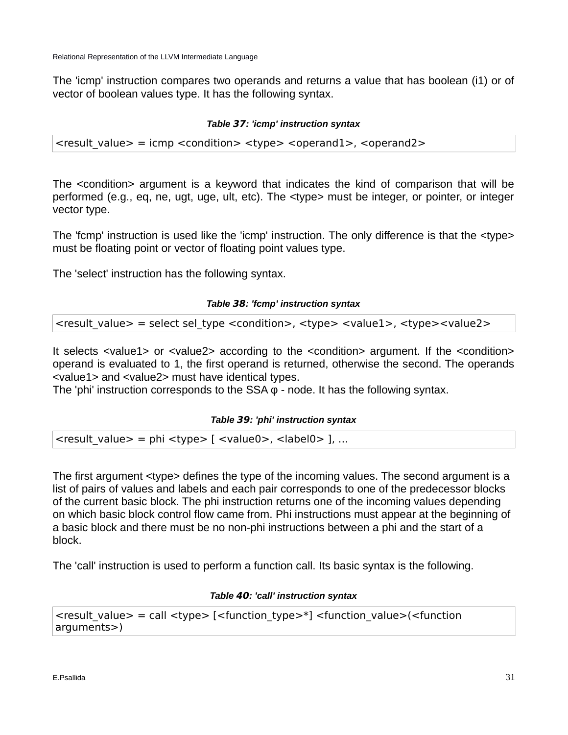The 'icmp' instruction compares two operands and returns a value that has boolean (i1) or of vector of boolean values type. It has the following syntax.

## *Table* **37***: 'icmp' instruction syntax*

 $\epsilon$  <result value $>$  = icmp <condition $>$  <type $>$  <operand1 $>$ , <operand2 $>$ 

The <condition> argument is a keyword that indicates the kind of comparison that will be performed (e.g., eq, ne, ugt, uge, ult, etc). The <type> must be integer, or pointer, or integer vector type.

The 'fcmp' instruction is used like the 'icmp' instruction. The only difference is that the <type> must be floating point or vector of floating point values type.

The 'select' instruction has the following syntax.

## *Table* **38***: 'fcmp' instruction syntax*

<result\_value> = select sel\_type <condition>, <type> <value1>, <type><value2>

It selects <value1> or <value2> according to the <condition> argument. If the <condition> operand is evaluated to 1, the first operand is returned, otherwise the second. The operands <value1> and <value2> must have identical types.

The 'phi' instruction corresponds to the SSA φ - node. It has the following syntax.

### *Table* **39***: 'phi' instruction syntax*

 $\epsilon$  <result value> = phi <type> [ <value0>, <label0> ], …

The first argument <type> defines the type of the incoming values. The second argument is a list of pairs of values and labels and each pair corresponds to one of the predecessor blocks of the current basic block. The phi instruction returns one of the incoming values depending on which basic block control flow came from. Phi instructions must appear at the beginning of a basic block and there must be no non-phi instructions between a phi and the start of a block.

The 'call' instruction is used to perform a function call. Its basic syntax is the following.

### *Table* **40***: 'call' instruction syntax*

```
\epsilon <tresult value> = call <type> [<function type>*] <function value>(<function
arguments>)
```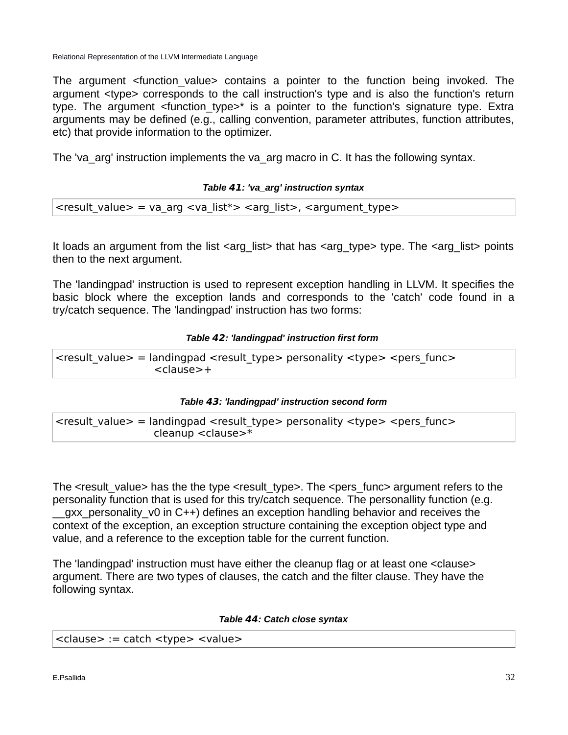The argument <function\_value> contains a pointer to the function being invoked. The argument <type> corresponds to the call instruction's type and is also the function's return type. The argument  $\leq$  function type $\geq$ \* is a pointer to the function's signature type. Extra arguments may be defined (e.g., calling convention, parameter attributes, function attributes, etc) that provide information to the optimizer.

The 'va\_arg' instruction implements the va\_arg macro in C. It has the following syntax.

## *Table* **41***: 'va\_arg' instruction syntax*

| <result_value> = va_arg <va_list*> <arg_list>, <argument_type></argument_type></arg_list></va_list*></result_value> |  |  |
|---------------------------------------------------------------------------------------------------------------------|--|--|
|                                                                                                                     |  |  |

It loads an argument from the list  $\langle \text{arg}|$  list $>$  that has  $\langle \text{arg}|$  type $>$  type. The  $\langle \text{arg}|$  list $>$  points then to the next argument.

The 'landingpad' instruction is used to represent exception handling in LLVM. It specifies the basic block where the exception lands and corresponds to the 'catch' code found in a try/catch sequence. The 'landingpad' instruction has two forms:

## *Table* **42***: 'landingpad' instruction first form*

 $\epsilon$  <result value  $>$  = landingpad <result type> personality <type> <pers func> <clause>+

### *Table* **43***: 'landingpad' instruction second form*

<result\_value> = landingpad <result\_type> personality <type> <pers\_func> cleanup <clause>\*

The <result value> has the the type <result type>. The <pers func> argument refers to the personality function that is used for this try/catch sequence. The personallity function (e.g. qxx personality v0 in C++) defines an exception handling behavior and receives the context of the exception, an exception structure containing the exception object type and value, and a reference to the exception table for the current function.

The 'landingpad' instruction must have either the cleanup flag or at least one <clause> argument. There are two types of clauses, the catch and the filter clause. They have the following syntax.

### *Table* **44***: Catch close syntax*

| <clause> := catch <type> <value></value></type></clause> |  |  |  |  |
|----------------------------------------------------------|--|--|--|--|
|----------------------------------------------------------|--|--|--|--|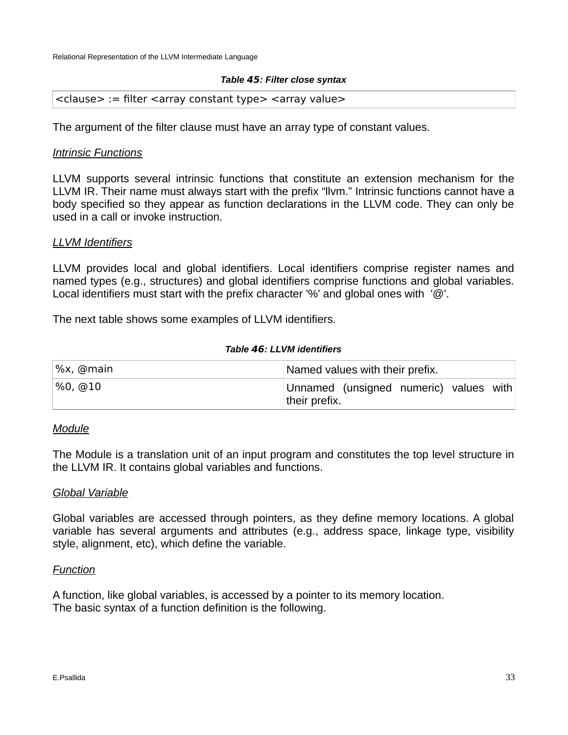### *Table* **45***: Filter close syntax*

#### $\alpha$  <clause> := filter <array constant type> <array value>

The argument of the filter clause must have an array type of constant values.

## *Intrinsic Functions*

LLVM supports several intrinsic functions that constitute an extension mechanism for the LLVM IR. Their name must always start with the prefix "llvm." Intrinsic functions cannot have a body specified so they appear as function declarations in the LLVM code. They can only be used in a call or invoke instruction.

### *LLVM Identifiers*

LLVM provides local and global identifiers. Local identifiers comprise register names and named types (e.g., structures) and global identifiers comprise functions and global variables. Local identifiers must start with the prefix character '%' and global ones with '@'.

The next table shows some examples of LLVM identifiers.

#### *Table* **46***: LLVM identifiers*

| ∣%x, @main | Named values with their prefix.                         |  |  |
|------------|---------------------------------------------------------|--|--|
| %0, @10    | Unnamed (unsigned numeric) values with<br>their prefix. |  |  |

### *Module*

The Module is a translation unit of an input program and constitutes the top level structure in the LLVM IR. It contains global variables and functions.

### *Global Variable*

Global variables are accessed through pointers, as they define memory locations. A global variable has several arguments and attributes (e.g., address space, linkage type, visibility style, alignment, etc), which define the variable.

## *Function*

A function, like global variables, is accessed by a pointer to its memory location. The basic syntax of a function definition is the following.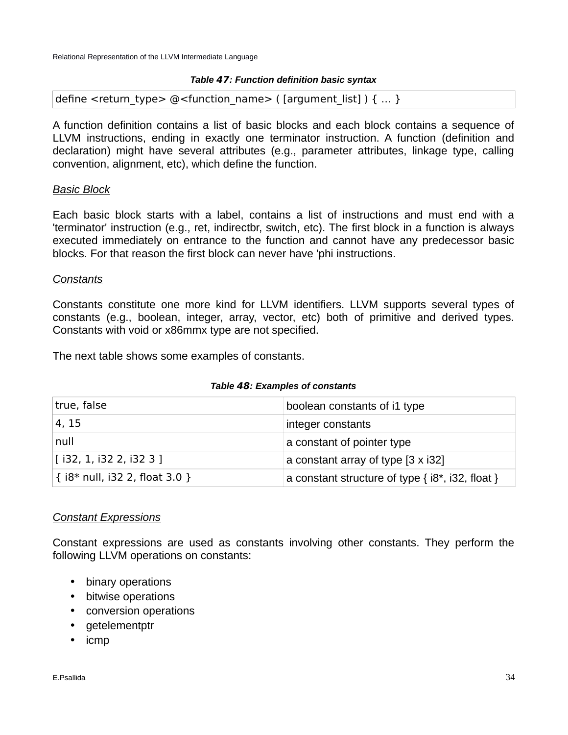## *Table* **47***: Function definition basic syntax*

define <return type> @<function name> ( [argument list] ) { ... }

A function definition contains a list of basic blocks and each block contains a sequence of LLVM instructions, ending in exactly one terminator instruction. A function (definition and declaration) might have several attributes (e.g., parameter attributes, linkage type, calling convention, alignment, etc), which define the function.

## *Basic Block*

Each basic block starts with a label, contains a list of instructions and must end with a 'terminator' instruction (e.g., ret, indirectbr, switch, etc). The first block in a function is always executed immediately on entrance to the function and cannot have any predecessor basic blocks. For that reason the first block can never have 'phi instructions.

## *Constants*

Constants constitute one more kind for LLVM identifiers. LLVM supports several types of constants (e.g., boolean, integer, array, vector, etc) both of primitive and derived types. Constants with void or x86mmx type are not specified.

The next table shows some examples of constants.

### *Table* **48***: Examples of constants*

| true, false                      | boolean constants of i1 type                             |
|----------------------------------|----------------------------------------------------------|
| 4, 15                            | integer constants                                        |
| null                             | a constant of pointer type                               |
| $[$ i32, 1, i32 2, i32 3 ]       | a constant array of type $[3 \times 32]$                 |
| $\{i8*$ null, i32 2, float 3.0 } | a constant structure of type $\{i8^*, i32, f$ float $\}$ |

## *Constant Expressions*

Constant expressions are used as constants involving other constants. They perform the following LLVM operations on constants:

- binary operations
- bitwise operations
- conversion operations
- getelementptr
- icmp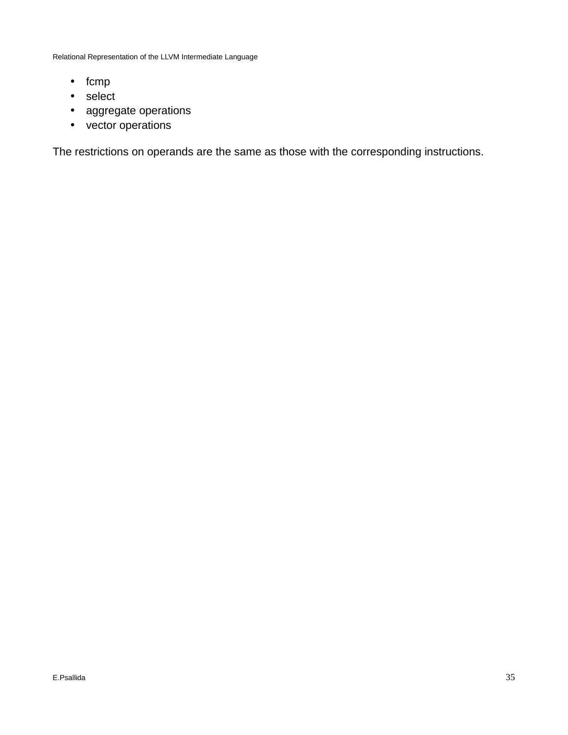- fcmp
- select
- aggregate operations
- vector operations

The restrictions on operands are the same as those with the corresponding instructions.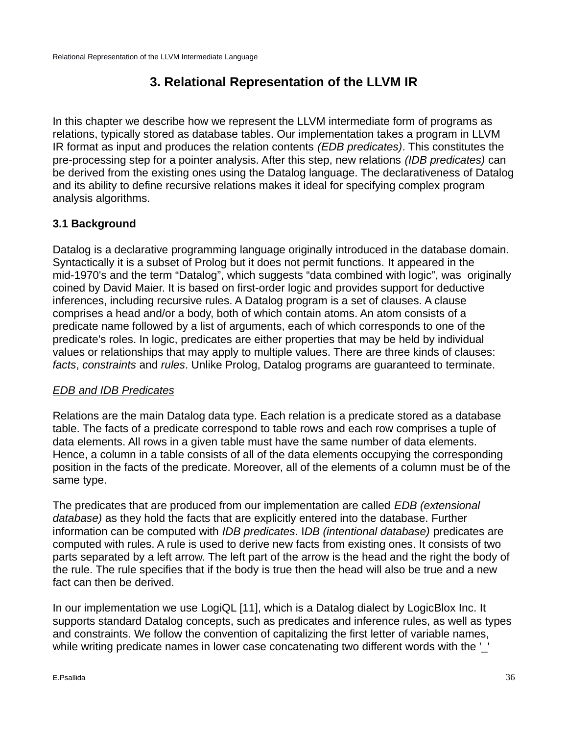## **3. Relational Representation of the LLVM IR**

In this chapter we describe how we represent the LLVM intermediate form of programs as relations, typically stored as database tables. Our implementation takes a program in LLVM IR format as input and produces the relation contents *(EDB predicates)*. This constitutes the pre-processing step for a pointer analysis. After this step, new relations *(IDB predicates)* can be derived from the existing ones using the Datalog language. The declarativeness of Datalog and its ability to define recursive relations makes it ideal for specifying complex program analysis algorithms.

## **3.1 Background**

Datalog is a declarative programming language originally introduced in the database domain. Syntactically it is a subset of Prolog but it does not permit functions. It appeared in the mid-1970's and the term "Datalog", which suggests "data combined with logic", was originally coined by David Maier. It is based on first-order logic and provides support for deductive inferences, including recursive rules. A Datalog program is a set of clauses. A clause comprises a head and/or a body, both of which contain atoms. An atom consists of a predicate name followed by a list of arguments, each of which corresponds to one of the predicate's roles. In logic, predicates are either properties that may be held by individual values or relationships that may apply to multiple values. There are three kinds of clauses: *facts*, *constraints* and *rules*. Unlike Prolog, Datalog programs are guaranteed to terminate.

## *EDB and IDB Predicates*

Relations are the main Datalog data type. Each relation is a predicate stored as a database table. The facts of a predicate correspond to table rows and each row comprises a tuple of data elements. All rows in a given table must have the same number of data elements. Hence, a column in a table consists of all of the data elements occupying the corresponding position in the facts of the predicate. Moreover, all of the elements of a column must be of the same type.

The predicates that are produced from our implementation are called *EDB (extensional database)* as they hold the facts that are explicitly entered into the database. Further information can be computed with *IDB predicates*. I*DB (intentional database)* predicates are computed with rules. A rule is used to derive new facts from existing ones. It consists of two parts separated by a left arrow. The left part of the arrow is the head and the right the body of the rule. The rule specifies that if the body is true then the head will also be true and a new fact can then be derived.

In our implementation we use LogiQL [11], which is a Datalog dialect by LogicBlox Inc. It supports standard Datalog concepts, such as predicates and inference rules, as well as types and constraints. We follow the convention of capitalizing the first letter of variable names, while writing predicate names in lower case concatenating two different words with the '\_'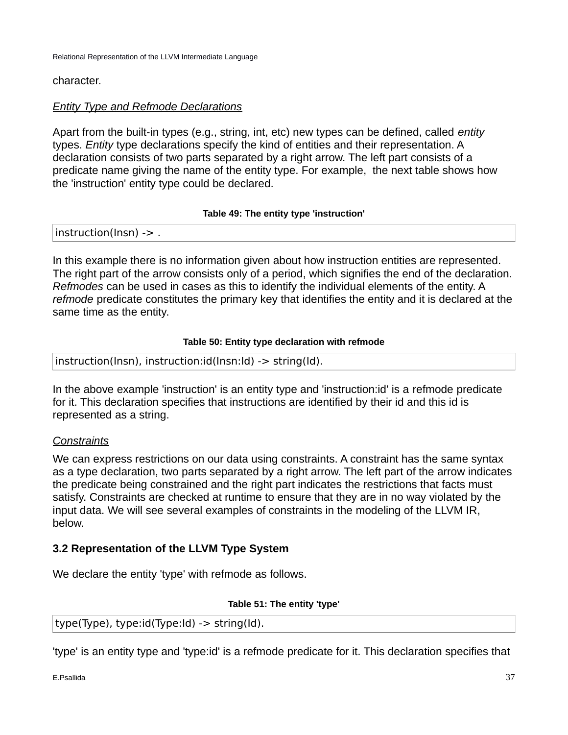## character.

## *Entity Type and Refmode Declarations*

Apart from the built-in types (e.g., string, int, etc) new types can be defined, called *entity* types. *Entity* type declarations specify the kind of entities and their representation. A declaration consists of two parts separated by a right arrow. The left part consists of a predicate name giving the name of the entity type. For example, the next table shows how the 'instruction' entity type could be declared.

## **Table 49: The entity type 'instruction'**

instruction(Insn) -> .

In this example there is no information given about how instruction entities are represented. The right part of the arrow consists only of a period, which signifies the end of the declaration. *Refmodes* can be used in cases as this to identify the individual elements of the entity. A *refmode* predicate constitutes the primary key that identifies the entity and it is declared at the same time as the entity.

## **Table 50: Entity type declaration with refmode**

instruction(Insn), instruction:id(Insn:Id) -> string(Id).

In the above example 'instruction' is an entity type and 'instruction:id' is a refmode predicate for it. This declaration specifies that instructions are identified by their id and this id is represented as a string.

## *Constraints*

We can express restrictions on our data using constraints. A constraint has the same syntax as a type declaration, two parts separated by a right arrow. The left part of the arrow indicates the predicate being constrained and the right part indicates the restrictions that facts must satisfy. Constraints are checked at runtime to ensure that they are in no way violated by the input data. We will see several examples of constraints in the modeling of the LLVM IR, below.

## **3.2 Representation of the LLVM Type System**

We declare the entity 'type' with refmode as follows.

### **Table 51: The entity 'type'**

type(Type), type:id(Type:Id) -> string(Id).

'type' is an entity type and 'type:id' is a refmode predicate for it. This declaration specifies that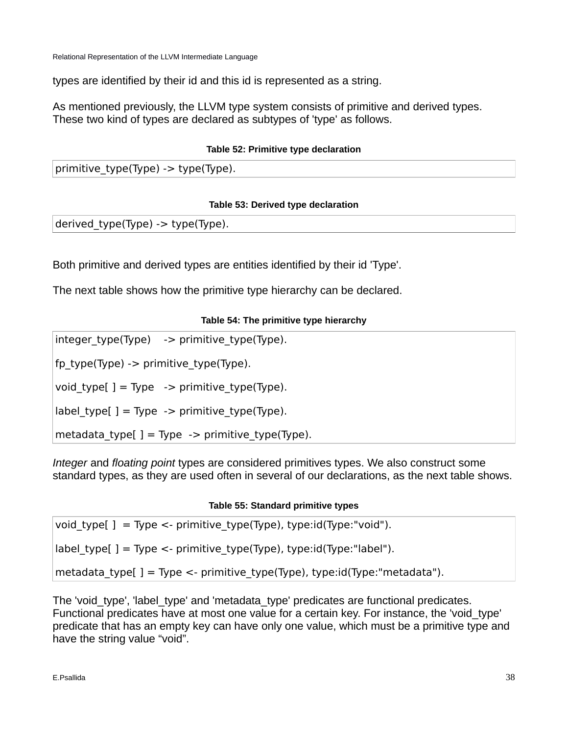types are identified by their id and this id is represented as a string.

As mentioned previously, the LLVM type system consists of primitive and derived types. These two kind of types are declared as subtypes of 'type' as follows.

## **Table 52: Primitive type declaration**

primitive type(Type) -> type(Type).

## **Table 53: Derived type declaration**

derived type(Type) -> type(Type).

Both primitive and derived types are entities identified by their id 'Type'.

The next table shows how the primitive type hierarchy can be declared.

## **Table 54: The primitive type hierarchy**

 $integer type(Type)$  -> primitive type(Type).

fp\_type(Type) -> primitive\_type(Type).

void type[ ] = Type  $\rightarrow$  primitive type(Type).

 $label_typej = Type -$  primitive\_type(Type).

metadata\_type $[$ ] = Type -> primitive\_type(Type).

*Integer* and *floating point* types are considered primitives types. We also construct some standard types, as they are used often in several of our declarations, as the next table shows.

## **Table 55: Standard primitive types**

| metadata_type[] = Type <- primitive_type(Type), type:id(Type:"metadata"). |  |
|---------------------------------------------------------------------------|--|
| $label$ type[] = Type <- primitive type(Type), type: $id$ (Type:"label"). |  |
| void type[] = Type <- primitive type(Type), type:id(Type:"void").         |  |

The 'void type', 'label type' and 'metadata type' predicates are functional predicates. Functional predicates have at most one value for a certain key. For instance, the 'void\_type' predicate that has an empty key can have only one value, which must be a primitive type and have the string value "void".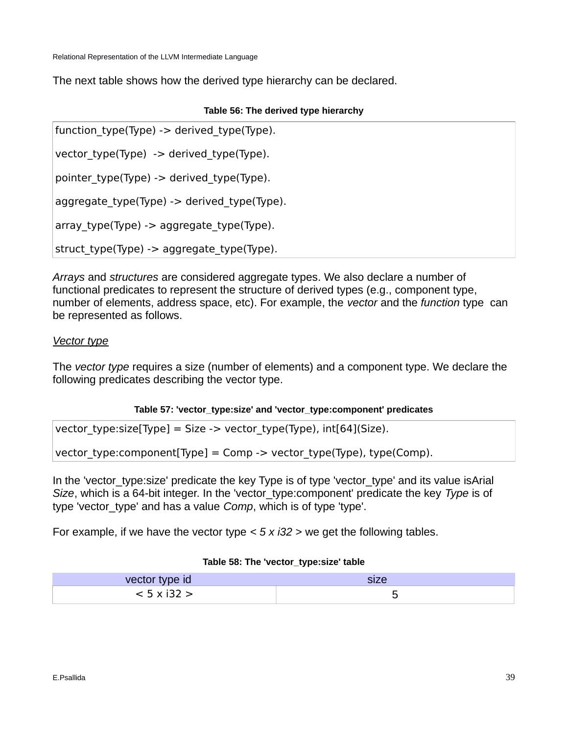The next table shows how the derived type hierarchy can be declared.

## **Table 56: The derived type hierarchy**

function type(Type) -> derived type(Type). vector type(Type)  $\rightarrow$  derived type(Type). pointer\_type(Type) -> derived\_type(Type). aggregate\_type(Type) -> derived\_type(Type). array type(Type) -> aggregate type(Type). struct\_type(Type) -> aggregate\_type(Type).

*Arrays* and *structures* are considered aggregate types. We also declare a number of functional predicates to represent the structure of derived types (e.g., component type, number of elements, address space, etc). For example, the *vector* and the *function* type can be represented as follows.

## *Vector type*

The *vector type* requires a size (number of elements) and a component type. We declare the following predicates describing the vector type.

## **Table 57: 'vector\_type:size' and 'vector\_type:component' predicates**

| vector_type:size[Type] = Size -> vector_type(Type), int[64](Size). |  |
|--------------------------------------------------------------------|--|
|--------------------------------------------------------------------|--|

vector type:component[Type] = Comp -> vector type(Type), type(Comp).

In the 'vector type: size' predicate the key Type is of type 'vector type' and its value isArial *Size*, which is a 64-bit integer. In the 'vector\_type:component' predicate the key *Type* is of type 'vector\_type' and has a value *Comp*, which is of type 'type'.

For example, if we have the vector type *< 5 x i32 >* we get the following tables.

### **Table 58: The 'vector\_type:size' table**

| vector type id | SIZU |
|----------------|------|
|                |      |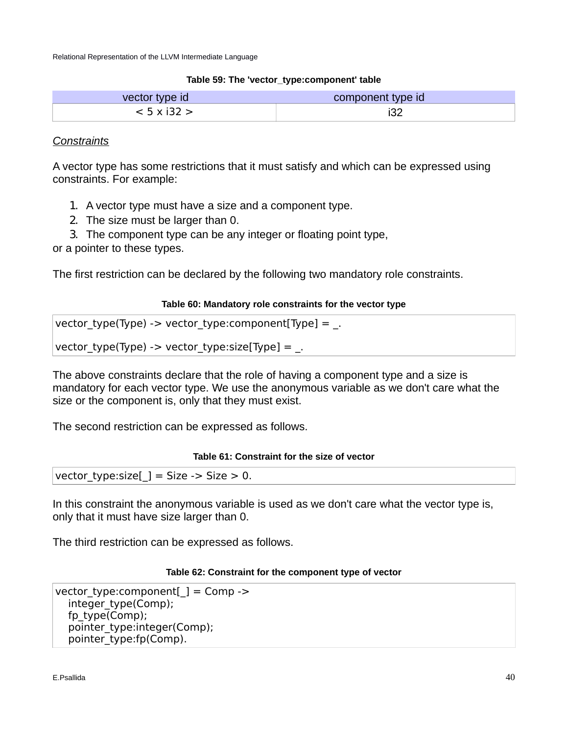#### **Table 59: The 'vector\_type:component' table**

| vector type id     | component type id |  |
|--------------------|-------------------|--|
| $< 5 \times 132 >$ |                   |  |

## *Constraints*

A vector type has some restrictions that it must satisfy and which can be expressed using constraints. For example:

- 1. A vector type must have a size and a component type.
- 2. The size must be larger than 0.
- 3. The component type can be any integer or floating point type,

or a pointer to these types.

The first restriction can be declared by the following two mandatory role constraints.

### **Table 60: Mandatory role constraints for the vector type**

```
vector type(Type) -> vector type:component[Type] = \Box
```

```
vector type(Type) -> vector type:size[Type] = .
```
The above constraints declare that the role of having a component type and a size is mandatory for each vector type. We use the anonymous variable as we don't care what the size or the component is, only that they must exist.

The second restriction can be expressed as follows.

## **Table 61: Constraint for the size of vector**

vector type: size  $] =$  Size -> Size > 0.

In this constraint the anonymous variable is used as we don't care what the vector type is, only that it must have size larger than 0.

The third restriction can be expressed as follows.

#### **Table 62: Constraint for the component type of vector**

```
vector type: component[] = Comp \rightarrowinteger_type(Comp);
   fp_type(Comp); 
   pointer_type:integer(Comp); 
  pointer_type:fp(Comp).
```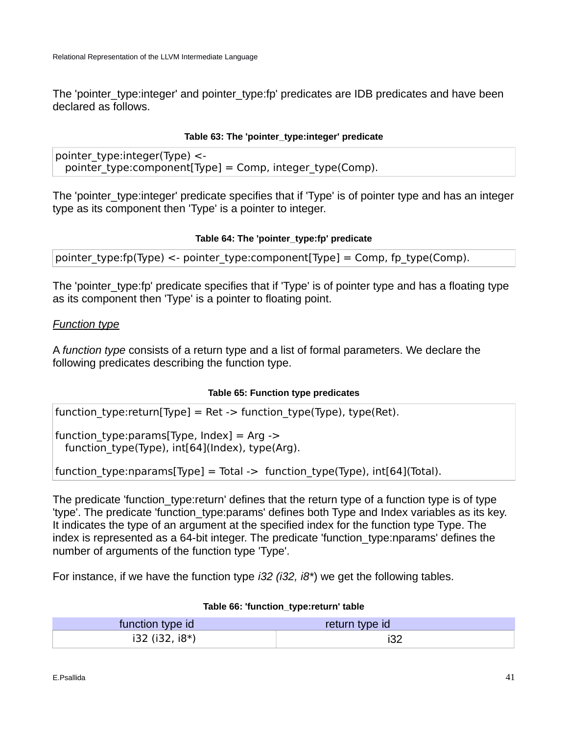The 'pointer type:integer' and pointer type:fp' predicates are IDB predicates and have been declared as follows.

## **Table 63: The 'pointer\_type:integer' predicate**

pointer  $type:integer(Type)$  <pointer type: component [Type] = Comp, integer type (Comp).

The 'pointer type: integer' predicate specifies that if 'Type' is of pointer type and has an integer type as its component then 'Type' is a pointer to integer.

## **Table 64: The 'pointer\_type:fp' predicate**

pointer type:fp(Type) <- pointer\_type:component[Type] = Comp, fp\_type(Comp).

The 'pointer type: fp' predicate specifies that if 'Type' is of pointer type and has a floating type as its component then 'Type' is a pointer to floating point.

## *Function type*

A *function type* consists of a return type and a list of formal parameters. We declare the following predicates describing the function type.

## **Table 65: Function type predicates**

function type:return[Type] = Ret -> function type(Type), type(Ret).

function type:params[Type, Index] = Arg -> function\_type(Type), int[64](Index), type(Arg).

function type:nparams[Type] = Total -> function type(Type), int[64](Total).

The predicate 'function type: return' defines that the return type of a function type is of type 'type'. The predicate 'function\_type:params' defines both Type and Index variables as its key. It indicates the type of an argument at the specified index for the function type Type. The index is represented as a 64-bit integer. The predicate 'function\_type:nparams' defines the number of arguments of the function type 'Type'.

For instance, if we have the function type *i32 (i32, i8\**) we get the following tables.

| function type id | return type id |
|------------------|----------------|
| i32 (i32, i8*)   |                |

### **Table 66: 'function\_type:return' table**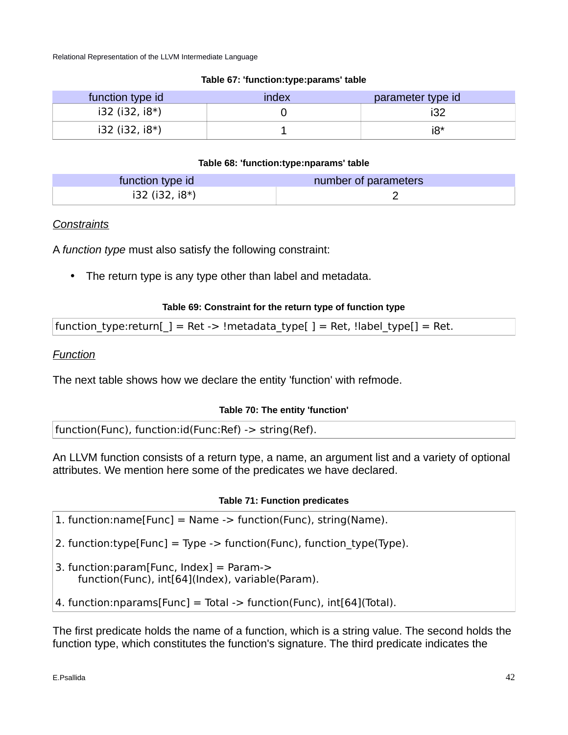## **Table 67: 'function:type:params' table**

| function type id        | index | parameter type id |
|-------------------------|-------|-------------------|
| $i32$ ( $i32$ , $i8$ *) |       |                   |
| $i32$ ( $i32$ , $i8*$ ) |       | i8*               |

## **Table 68: 'function:type:nparams' table**

| function type id        | number of parameters |
|-------------------------|----------------------|
| $i32$ ( $i32$ , $i8$ *) |                      |

## *Constraints*

A *function type* must also satisfy the following constraint:

• The return type is any type other than label and metadata.

## **Table 69: Constraint for the return type of function type**

| function_type:return[_] = Ret -> !metadata_type[] = Ret, !label_type[] = Ret. |  |  |
|-------------------------------------------------------------------------------|--|--|
|                                                                               |  |  |

*Function*

The next table shows how we declare the entity 'function' with refmode.

## **Table 70: The entity 'function'**

function(Func), function:id(Func:Ref) -> string(Ref).

An LLVM function consists of a return type, a name, an argument list and a variety of optional attributes. We mention here some of the predicates we have declared.

## **Table 71: Function predicates**

1. function:name[Func] = Name -> function(Func), string(Name).

- 2. function:type[Func] = Type -> function(Func), function type(Type).
- 3. function:param[Func, Index] = Param-> function(Func), int[64](Index), variable(Param).
- 4. function:nparams[Func] = Total -> function(Func), int[64](Total).

The first predicate holds the name of a function, which is a string value. The second holds the function type, which constitutes the function's signature. The third predicate indicates the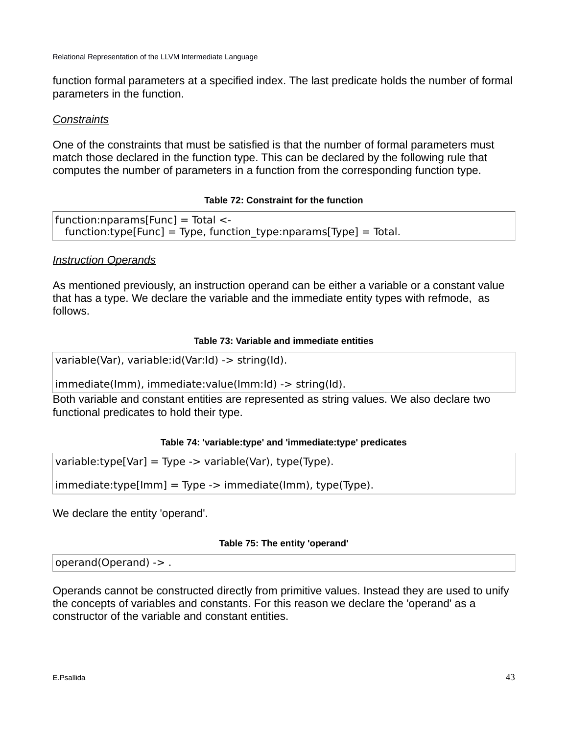function formal parameters at a specified index. The last predicate holds the number of formal parameters in the function.

## *Constraints*

One of the constraints that must be satisfied is that the number of formal parameters must match those declared in the function type. This can be declared by the following rule that computes the number of parameters in a function from the corresponding function type.

## **Table 72: Constraint for the function**

```
function:nparams[Func] = Total < -function:type[Func] = Type, function type:nparams[Type] = Total.
```
## *Instruction Operands*

As mentioned previously, an instruction operand can be either a variable or a constant value that has a type. We declare the variable and the immediate entity types with refmode, as follows.

## **Table 73: Variable and immediate entities**

variable(Var), variable:id(Var:Id) -> string(Id).

immediate(Imm), immediate:value(Imm:Id) -> string(Id).

Both variable and constant entities are represented as string values. We also declare two functional predicates to hold their type.

## **Table 74: 'variable:type' and 'immediate:type' predicates**

variable:type[Var] = Type -> variable(Var), type(Type).

 $immediate:type[Imm] = Type -> immediate(Imm), type(Type).$ 

We declare the entity 'operand'.

### **Table 75: The entity 'operand'**

operand(Operand) -> .

Operands cannot be constructed directly from primitive values. Instead they are used to unify the concepts of variables and constants. For this reason we declare the 'operand' as a constructor of the variable and constant entities.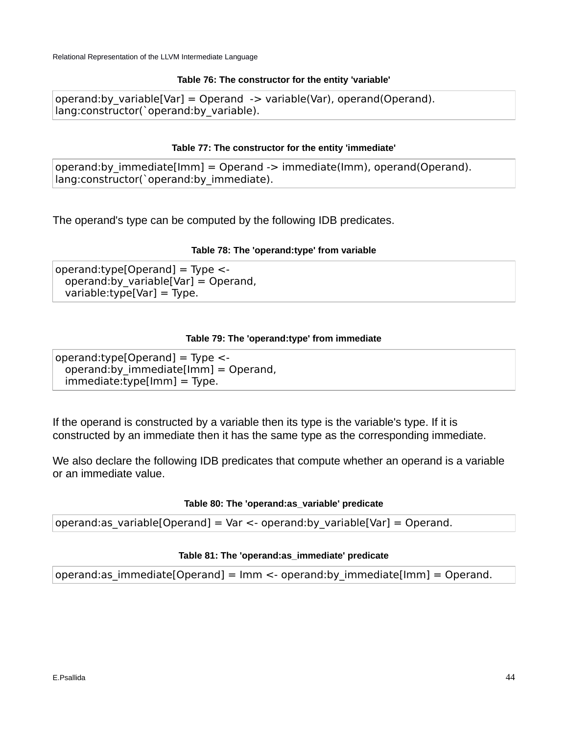#### **Table 76: The constructor for the entity 'variable'**

operand:by variable[Var] = Operand  $\rightarrow$  variable(Var), operand(Operand). lang:constructor(`operand:by\_variable).

### **Table 77: The constructor for the entity 'immediate'**

operand:by\_immediate[Imm] = Operand -> immediate(Imm), operand(Operand). lang:constructor(`operand:by\_immediate).

The operand's type can be computed by the following IDB predicates.

### **Table 78: The 'operand:type' from variable**

operand:type[Operand] = Type < operand:by variable [Var] = Operand, variable:type[Var] = Type.

#### **Table 79: The 'operand:type' from immediate**

operand:type[Operand] = Type  $\lt$ operand:by immediate[Imm] = Operand,  $immediate:type[Imm] = Type.$ 

If the operand is constructed by a variable then its type is the variable's type. If it is constructed by an immediate then it has the same type as the corresponding immediate.

We also declare the following IDB predicates that compute whether an operand is a variable or an immediate value.

### **Table 80: The 'operand:as\_variable' predicate**

operand:as variable[Operand] = Var <- operand:by\_variable[Var] = Operand.

### **Table 81: The 'operand:as\_immediate' predicate**

operand:as immediate[Operand] =  $\text{Imm}$  <- operand:by immediate[Imm] = Operand.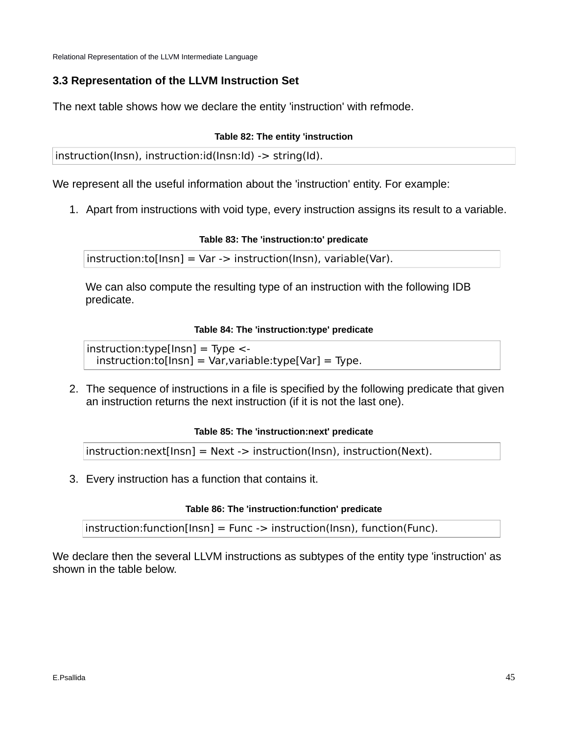## **3.3 Representation of the LLVM Instruction Set**

The next table shows how we declare the entity 'instruction' with refmode.

## **Table 82: The entity 'instruction**

instruction(Insn), instruction:id(Insn:Id) -> string(Id).

We represent all the useful information about the 'instruction' entity. For example:

1. Apart from instructions with void type, every instruction assigns its result to a variable.

## **Table 83: The 'instruction:to' predicate**

instruction:to[Insn] = Var -> instruction(Insn), variable(Var).

We can also compute the resulting type of an instruction with the following IDB predicate.

## **Table 84: The 'instruction:type' predicate**

 $instrumentypel[Insn] = Type < instruction:to[Insn] = Var, variable:type[Var] = Type.$ 

2. The sequence of instructions in a file is specified by the following predicate that given an instruction returns the next instruction (if it is not the last one).

## **Table 85: The 'instruction:next' predicate**

 $instrument[Insn] = Next -> instruction(Insn), instruction(Next).$ 

3. Every instruction has a function that contains it.

## **Table 86: The 'instruction:function' predicate**

 $instantmathrm{function}$  [Instruction[Insn] = Func -> instruction(lnsn), function(Func).

We declare then the several LLVM instructions as subtypes of the entity type 'instruction' as shown in the table below.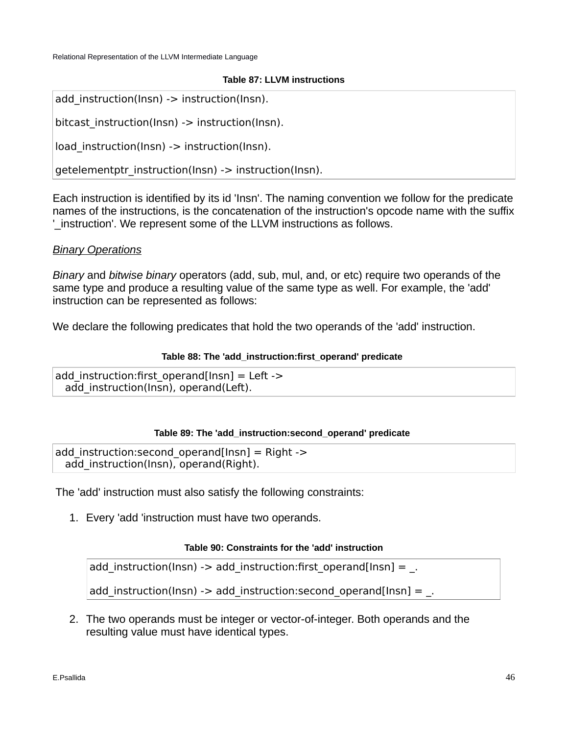#### **Table 87: LLVM instructions**

```
add_instruction(Insn) -> instruction(Insn).
```

```
bitcast instruction(Insn) -> instruction(Insn).
```
load instruction(Insn) -> instruction(Insn).

```
getelementptr_instruction(Insn) -> instruction(Insn).
```
Each instruction is identified by its id 'Insn'. The naming convention we follow for the predicate names of the instructions, is the concatenation of the instruction's opcode name with the suffix '\_instruction'. We represent some of the LLVM instructions as follows.

## *Binary Operations*

*Binary* and *bitwise binary* operators (add, sub, mul, and, or etc) require two operands of the same type and produce a resulting value of the same type as well. For example, the 'add' instruction can be represented as follows:

We declare the following predicates that hold the two operands of the 'add' instruction.

### **Table 88: The 'add\_instruction:first\_operand' predicate**

add instruction: first operand [Insn] = Left -> add instruction(Insn), operand(Left).

### **Table 89: The 'add\_instruction:second\_operand' predicate**

add instruction: second operand  $[Ins] = Right$ add instruction(Insn), operand(Right).

The 'add' instruction must also satisfy the following constraints:

1. Every 'add 'instruction must have two operands.

### **Table 90: Constraints for the 'add' instruction**

add instruction(Insn) -> add instruction:first operand[Insn] =  $\Box$ 

add instruction(Insn) -> add instruction: second operand[Insn] =  $\Box$ 

2. The two operands must be integer or vector-of-integer. Both operands and the resulting value must have identical types.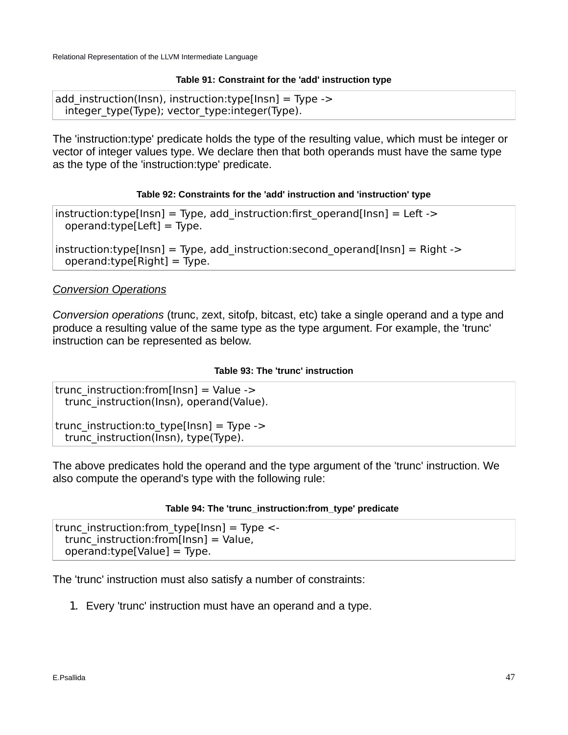### **Table 91: Constraint for the 'add' instruction type**

```
add instruction(Insn), instruction:type[Insn] = Type ->
  integer_type(Type); vector_type:integer(Type).
```
The 'instruction:type' predicate holds the type of the resulting value, which must be integer or vector of integer values type. We declare then that both operands must have the same type as the type of the 'instruction:type' predicate.

#### **Table 92: Constraints for the 'add' instruction and 'instruction' type**

instruction:type[Insn] = Type, add\_instruction:first\_operand[Insn] = Left ->  $operand:type[Left] = Type.$ 

instruction:type[Insn] = Type, add\_instruction:second\_operand[Insn] = Right ->  $operand:type[Right] = Type.$ 

## *Conversion Operations*

*Conversion operations* (trunc, zext, sitofp, bitcast, etc) take a single operand and a type and produce a resulting value of the same type as the type argument. For example, the 'trunc' instruction can be represented as below.

#### **Table 93: The 'trunc' instruction**

trunc instruction: from [Insn] = Value -> trunc\_instruction(Insn), operand(Value).

trunc instruction: to type[Insn] = Type -> trunc\_instruction(Insn), type(Type).

The above predicates hold the operand and the type argument of the 'trunc' instruction. We also compute the operand's type with the following rule:

#### **Table 94: The 'trunc\_instruction:from\_type' predicate**

trunc instruction: from type[Insn] = Type  $\lt$ trunc instruction: from [Insn] = Value, operand:type[Value] = Type.

The 'trunc' instruction must also satisfy a number of constraints:

1. Every 'trunc' instruction must have an operand and a type.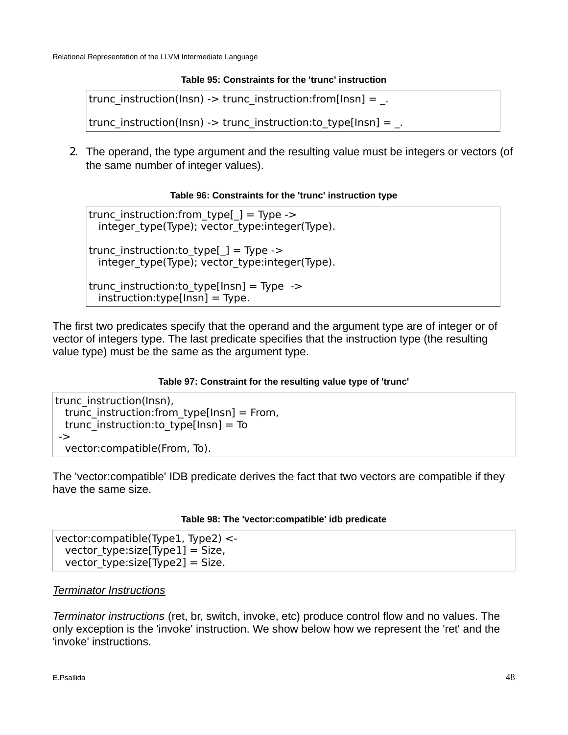## **Table 95: Constraints for the 'trunc' instruction**

trunc\_instruction(Insn) -> trunc\_instruction:from[Insn] =  $\Box$ 

trunc\_instruction(Insn) -> trunc\_instruction:to\_type[Insn] =  $\Box$ 

2. The operand, the type argument and the resulting value must be integers or vectors (of the same number of integer values).

### **Table 96: Constraints for the 'trunc' instruction type**

trunc instruction: from type[ $_$ ] = Type -> integer\_type(Type); vector\_type:integer(Type).

trunc instruction: to type[] = Type -> integer\_type(Type); vector\_type:integer(Type).

trunc instruction: to type[Insn] = Type ->  $instrumentypel[Insn] = Type.$ 

The first two predicates specify that the operand and the argument type are of integer or of vector of integers type. The last predicate specifies that the instruction type (the resulting value type) must be the same as the argument type.

### **Table 97: Constraint for the resulting value type of 'trunc'**

trunc\_instruction(Insn), trunc instruction: from type[Insn] = From, trunc instruction: to type[Insn] = To -> vector:compatible(From, To).

The 'vector:compatible' IDB predicate derives the fact that two vectors are compatible if they have the same size.

### **Table 98: The 'vector:compatible' idb predicate**

vector:compatible(Type1, Type2) < vector type:size[Type1] = Size, vector type:size[Type2] = Size.

## *Terminator Instructions*

*Terminator instructions* (ret, br, switch, invoke, etc) produce control flow and no values. The only exception is the 'invoke' instruction. We show below how we represent the 'ret' and the 'invoke' instructions.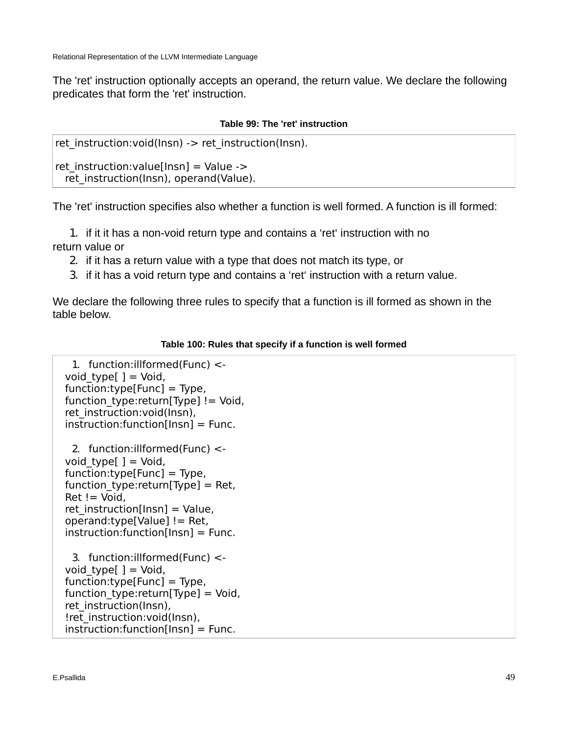The 'ret' instruction optionally accepts an operand, the return value. We declare the following predicates that form the 'ret' instruction.

### **Table 99: The 'ret' instruction**

```
ret instruction: void(Insn) -> ret instruction(Insn).
```
ret instruction: value[Insn] = Value -> ret instruction(Insn), operand(Value).

The 'ret' instruction specifies also whether a function is well formed. A function is ill formed:

1. if it it has a non-void return type and contains a 'ret' instruction with no return value or

- 2. if it has a return value with a type that does not match its type, or
- 3. if it has a void return type and contains a 'ret' instruction with a return value.

We declare the following three rules to specify that a function is ill formed as shown in the table below.

## **Table 100: Rules that specify if a function is well formed**

```
1. function:illformed(Func) <- 
void type[ ] = Void,
 function:type[Func] = Type, 
function type:return[Type] != Void,
ret_instruction:void(Insn),
 instruction:function[Insn] = Func.
```
2. function:illformed(Func) < void type  $] =$  Void, function:type[Func] = Type, function type: return[Type] = Ret,  $Ret !=$  Void, ret instruction[Insn] = Value, operand:type[Value] != Ret, instruction:function[Insn] = Func.

3. function:illformed(Func) < void type $[ ] =$  Void,  $func<sub>tion:type</sub>[Func] = Type,$ function type: return[Type] = Void, ret\_instruction(Insn), !ret\_instruction:void(Insn),  $instrumention:function[Insn] = Func.$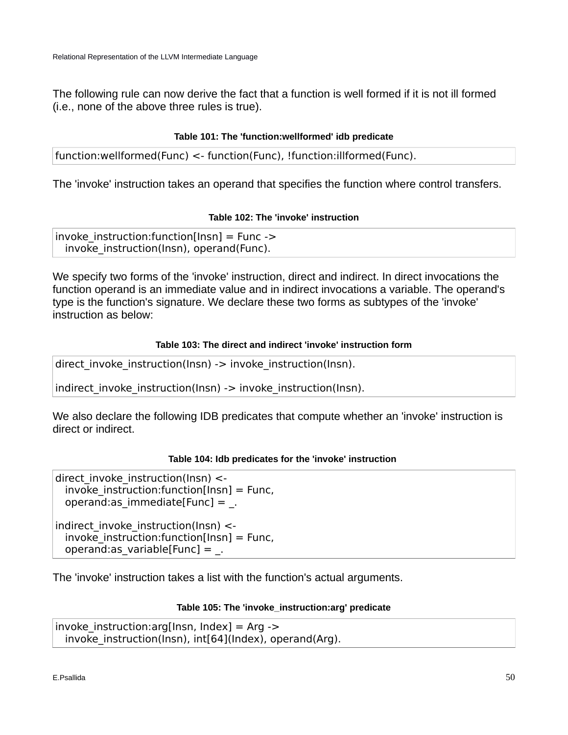The following rule can now derive the fact that a function is well formed if it is not ill formed (i.e., none of the above three rules is true).

## **Table 101: The 'function:wellformed' idb predicate**

function:wellformed(Func) <- function(Func), !function:illformed(Func).

The 'invoke' instruction takes an operand that specifies the function where control transfers.

## **Table 102: The 'invoke' instruction**

```
invoke instruction: function [Insn] = Func ->
 invoke instruction(Insn), operand(Func).
```
We specify two forms of the 'invoke' instruction, direct and indirect. In direct invocations the function operand is an immediate value and in indirect invocations a variable. The operand's type is the function's signature. We declare these two forms as subtypes of the 'invoke' instruction as below:

## **Table 103: The direct and indirect 'invoke' instruction form**

direct invoke instruction(Insn) -> invoke instruction(Insn).

indirect invoke instruction(Insn) -> invoke instruction(Insn).

We also declare the following IDB predicates that compute whether an 'invoke' instruction is direct or indirect.

## **Table 104: Idb predicates for the 'invoke' instruction**

direct invoke instruction(Insn)  $\lt$  $invoke$  instruction: function[Insn] = Func, operand:as immediate[Func] =  $\blacksquare$ 

indirect invoke instruction(Insn)  $\lt$  $invoke$  instruction: function [Insn] = Func, operand:as variable[Func] =  $\blacksquare$ 

The 'invoke' instruction takes a list with the function's actual arguments.

### **Table 105: The 'invoke\_instruction:arg' predicate**

 $invoke$  instruction: $arg[Insn, Index] = Arg$ invoke instruction(Insn), int[64](Index), operand(Arg).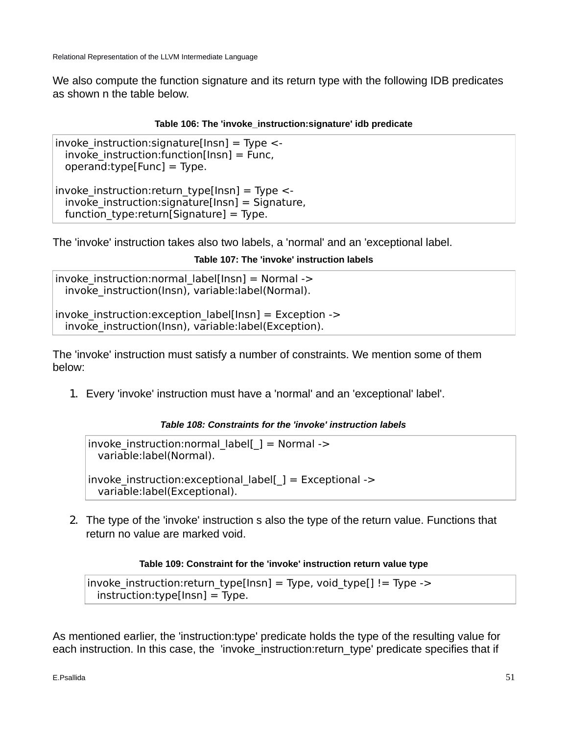We also compute the function signature and its return type with the following IDB predicates as shown n the table below.

### **Table 106: The 'invoke\_instruction:signature' idb predicate**

 $invoke$  instruction: signature[Insn] = Type < $invoke$  instruction: function [Insn] = Func, operand:type[Func] = Type.  $invoke$  instruction: return type[Insn] = Type < $invoke$  instruction: signature[Insn] = Signature, function type: return[Signature] = Type.

The 'invoke' instruction takes also two labels, a 'normal' and an 'exceptional label.

#### **Table 107: The 'invoke' instruction labels**

 $invoke$  instruction:normal label[Insn] = Normal -> invoke instruction(Insn), variable:label(Normal).

 $invoke$  instruction: exception  $label[Insn] = Exception ->$ invoke instruction(Insn), variable:label(Exception).

The 'invoke' instruction must satisfy a number of constraints. We mention some of them below:

1. Every 'invoke' instruction must have a 'normal' and an 'exceptional' label'.

#### *Table 108: Constraints for the 'invoke' instruction labels*

 $invoke$  instruction:normal label[ ] = Normal -> variable:label(Normal).

 $invoke$  instruction:exceptional label[ ] = Exceptional -> variable:label(Exceptional).

2. The type of the 'invoke' instruction s also the type of the return value. Functions that return no value are marked void.

#### **Table 109: Constraint for the 'invoke' instruction return value type**

```
invoke instruction:return type[lnsn] = Type, void type[] != Type ->
 instrumentive[Insn] = Type.
```
As mentioned earlier, the 'instruction:type' predicate holds the type of the resulting value for each instruction. In this case, the 'invoke instruction:return\_type' predicate specifies that if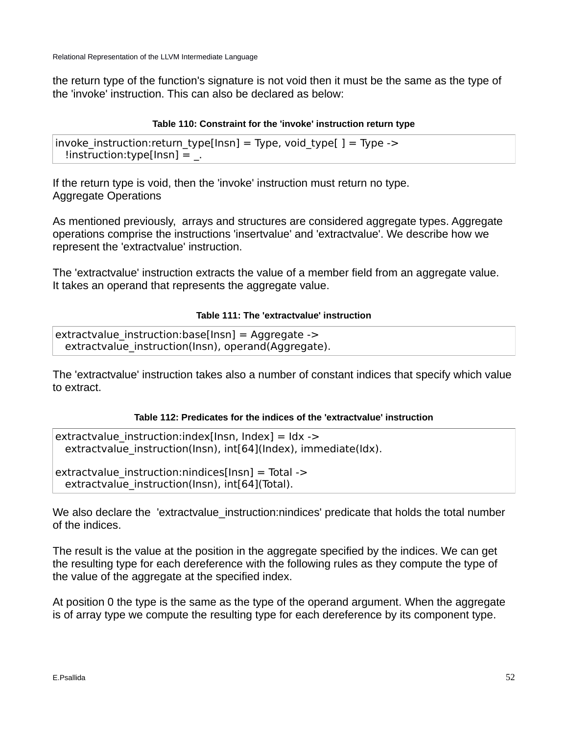the return type of the function's signature is not void then it must be the same as the type of the 'invoke' instruction. This can also be declared as below:

## **Table 110: Constraint for the 'invoke' instruction return type**

```
invoke instruction: return_type[Insn] = Type, void_type[ ] = Type ->
  !instruction:type[lnsn] = \ldots
```
If the return type is void, then the 'invoke' instruction must return no type. Aggregate Operations

As mentioned previously, arrays and structures are considered aggregate types. Aggregate operations comprise the instructions 'insertvalue' and 'extractvalue'. We describe how we represent the 'extractvalue' instruction.

The 'extractvalue' instruction extracts the value of a member field from an aggregate value. It takes an operand that represents the aggregate value.

### **Table 111: The 'extractvalue' instruction**

extractvalue instruction:base[Insn] = Aggregate -> extractvalue\_instruction(Insn), operand(Aggregate).

The 'extractvalue' instruction takes also a number of constant indices that specify which value to extract.

### **Table 112: Predicates for the indices of the 'extractvalue' instruction**

```
extractvalue instruction:index[Insn, Index] = ldx ->
 extractvalue instruction(Insn), int[64](Index), immediate(Idx).
```
 $extractvalue$  instruction:nindices[Insn] = Total -> extractvalue instruction(Insn), int[64](Total).

We also declare the 'extractvalue instruction:nindices' predicate that holds the total number of the indices.

The result is the value at the position in the aggregate specified by the indices. We can get the resulting type for each dereference with the following rules as they compute the type of the value of the aggregate at the specified index.

At position 0 the type is the same as the type of the operand argument. When the aggregate is of array type we compute the resulting type for each dereference by its component type.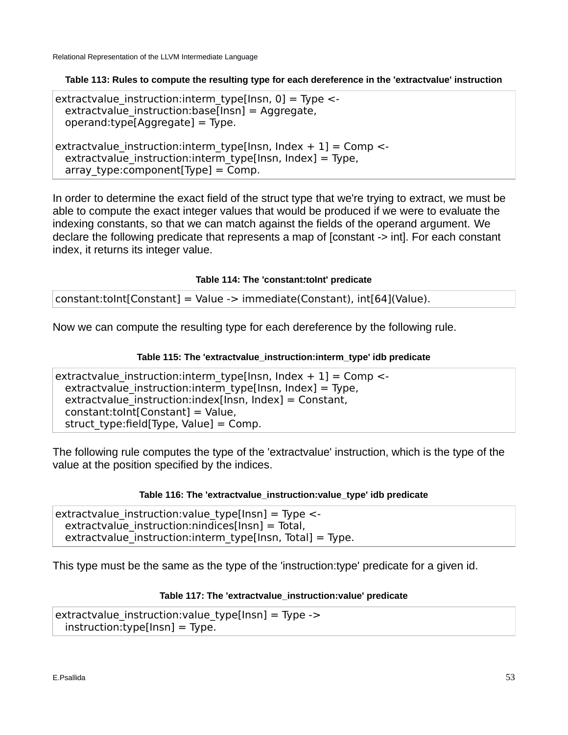**Table 113: Rules to compute the resulting type for each dereference in the 'extractvalue' instruction**

extractvalue instruction: interm type[Insn,  $0$ ] = Type <extractvalue instruction:base[Insn] = Aggregate,  $operand:type[Aggregate] = Type.$ extractvalue\_instruction:interm\_type[Insn, Index + 1] = Comp < extractvalue instruction: interm type[Insn, Index] = Type, array type: component [Type] = Comp.

In order to determine the exact field of the struct type that we're trying to extract, we must be able to compute the exact integer values that would be produced if we were to evaluate the indexing constants, so that we can match against the fields of the operand argument. We declare the following predicate that represents a map of [constant -> int]. For each constant index, it returns its integer value.

**Table 114: The 'constant:toInt' predicate**

constant:toInt[Constant] = Value -> immediate(Constant), int[64](Value).

Now we can compute the resulting type for each dereference by the following rule.

### **Table 115: The 'extractvalue\_instruction:interm\_type' idb predicate**

```
extractvalue instruction: interm type[Insn, Index + 1] = Comp <-
 extractvalue instruction: interm type[Insn, Index] = Type,
 extractvalue instruction: index[Insn, Index] = Constant,
  constant:toInt[Constant] = Value, 
 struct type:field[Type, Value] = Comp.
```
The following rule computes the type of the 'extractvalue' instruction, which is the type of the value at the position specified by the indices.

### **Table 116: The 'extractvalue\_instruction:value\_type' idb predicate**

extractvalue\_instruction:value\_type[Insn] = Type <  $extractvalue$  instruction:nindices[Insn] = Total, extractvalue instruction: interm type[Insn, Total] = Type.

This type must be the same as the type of the 'instruction:type' predicate for a given id.

### **Table 117: The 'extractvalue\_instruction:value' predicate**

```
extractvalue instruction: value type[Insn] = Type ->
 instrumentypel[Insn] = Type.
```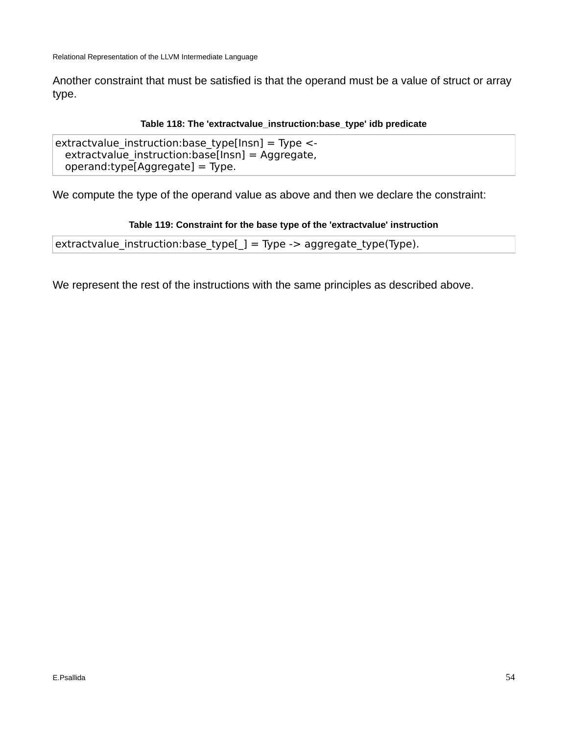Another constraint that must be satisfied is that the operand must be a value of struct or array type.

## **Table 118: The 'extractvalue\_instruction:base\_type' idb predicate**

extractvalue instruction: base type[Insn] = Type  $\lt$  extractvalue\_instruction:base[Insn] = Aggregate, operand:type[Aggregate] = Type.

We compute the type of the operand value as above and then we declare the constraint:

### **Table 119: Constraint for the base type of the 'extractvalue' instruction**

```
extractvalue_instruction:base_type[_] = Type -> aggregate_type(Type).
```
We represent the rest of the instructions with the same principles as described above.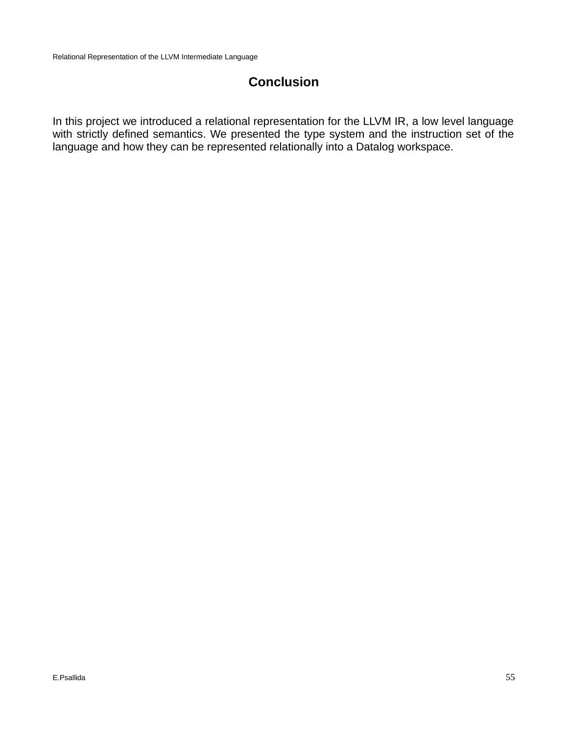## **Conclusion**

In this project we introduced a relational representation for the LLVM IR, a low level language with strictly defined semantics. We presented the type system and the instruction set of the language and how they can be represented relationally into a Datalog workspace.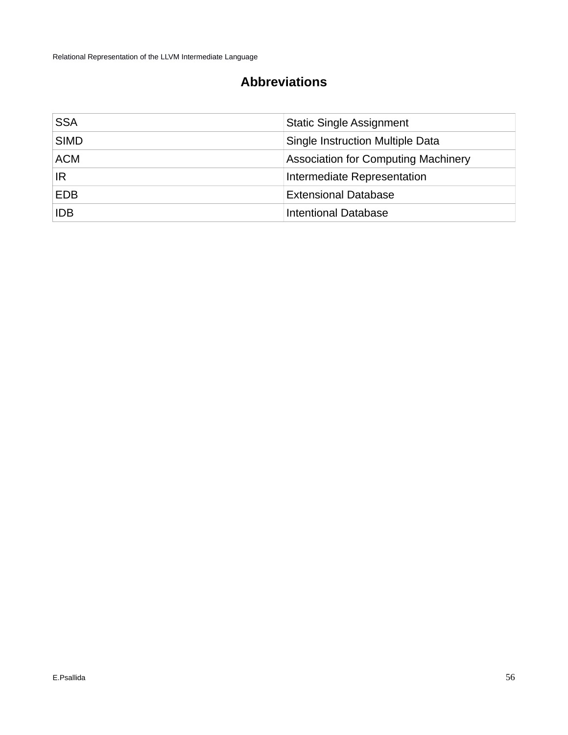## **Abbreviations**

| <b>SSA</b>  | <b>Static Single Assignment</b>            |
|-------------|--------------------------------------------|
| <b>SIMD</b> | Single Instruction Multiple Data           |
| <b>ACM</b>  | <b>Association for Computing Machinery</b> |
| IR          | Intermediate Representation                |
| <b>EDB</b>  | <b>Extensional Database</b>                |
| <b>IDB</b>  | Intentional Database                       |